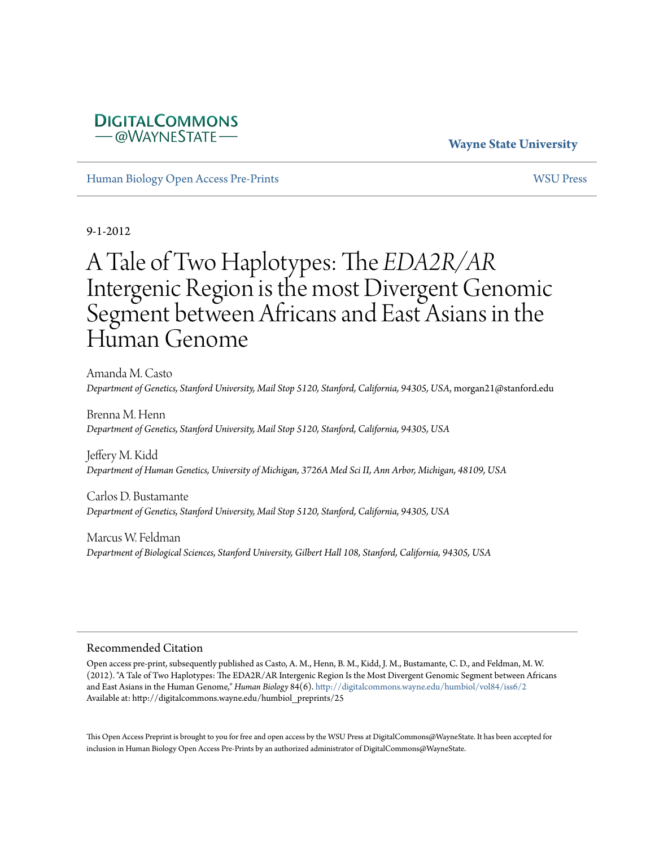## **Wayne State University**

[Human Biology Open Access Pre-Prints](http://digitalcommons.wayne.edu/humbiol_preprints) [WSU Press](http://digitalcommons.wayne.edu/wsupress)

**DIGITALCOMMONS** *–* @WAYNESTATE-

9-1-2012

# A Tale of Two Haplotypes: The *EDA2R/AR* Intergenic Region is the most Divergent Genomic Segment between Africans and East Asians in the Human Genome

Amanda M. Casto *Department of Genetics, Stanford University, Mail Stop 5120, Stanford, California, 94305, USA*, morgan21@stanford.edu

Brenna M. Henn *Department of Genetics, Stanford University, Mail Stop 5120, Stanford, California, 94305, USA*

Jeffery M. Kidd *Department of Human Genetics, University of Michigan, 3726A Med Sci II, Ann Arbor, Michigan, 48109, USA*

Carlos D. Bustamante *Department of Genetics, Stanford University, Mail Stop 5120, Stanford, California, 94305, USA*

Marcus W. Feldman *Department of Biological Sciences, Stanford University, Gilbert Hall 108, Stanford, California, 94305, USA*

#### Recommended Citation

Open access pre-print, subsequently published as Casto, A. M., Henn, B. M., Kidd, J. M., Bustamante, C. D., and Feldman, M. W. (2012). "A Tale of Two Haplotypes: The EDA2R/AR Intergenic Region Is the Most Divergent Genomic Segment between Africans and East Asians in the Human Genome," *Human Biology* 84(6). <http://digitalcommons.wayne.edu/humbiol/vol84/iss6/2> Available at: http://digitalcommons.wayne.edu/humbiol\_preprints/25

This Open Access Preprint is brought to you for free and open access by the WSU Press at DigitalCommons@WayneState. It has been accepted for inclusion in Human Biology Open Access Pre-Prints by an authorized administrator of DigitalCommons@WayneState.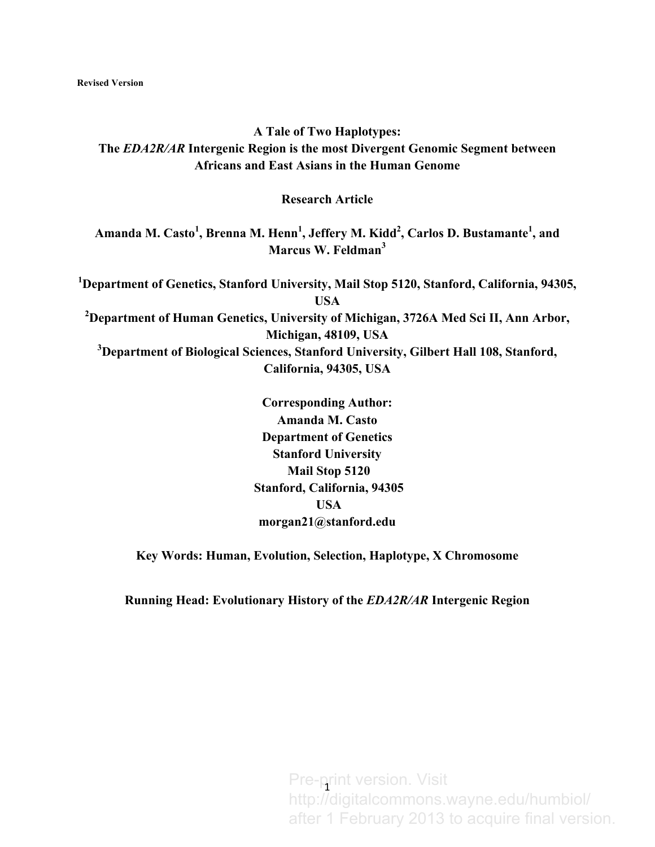# **A Tale of Two Haplotypes: The** *EDA2R/AR* **Intergenic Region is the most Divergent Genomic Segment between Africans and East Asians in the Human Genome**

**Research Article**

**Amanda M. Casto<sup>1</sup> , Brenna M. Henn<sup>1</sup> , Jeffery M. Kidd2 , Carlos D. Bustamante<sup>1</sup> , and Marcus W. Feldman<sup>3</sup>**

**1 Department of Genetics, Stanford University, Mail Stop 5120, Stanford, California, 94305, USA 2 Department of Human Genetics, University of Michigan, 3726A Med Sci II, Ann Arbor, Michigan, 48109, USA 3 Department of Biological Sciences, Stanford University, Gilbert Hall 108, Stanford, California, 94305, USA**

> **Corresponding Author: Amanda M. Casto Department of Genetics Stanford University Mail Stop 5120 Stanford, California, 94305 USA morgan21@stanford.edu**

**Key Words: Human, Evolution, Selection, Haplotype, X Chromosome**

**Running Head: Evolutionary History of the** *EDA2R/AR* **Intergenic Region**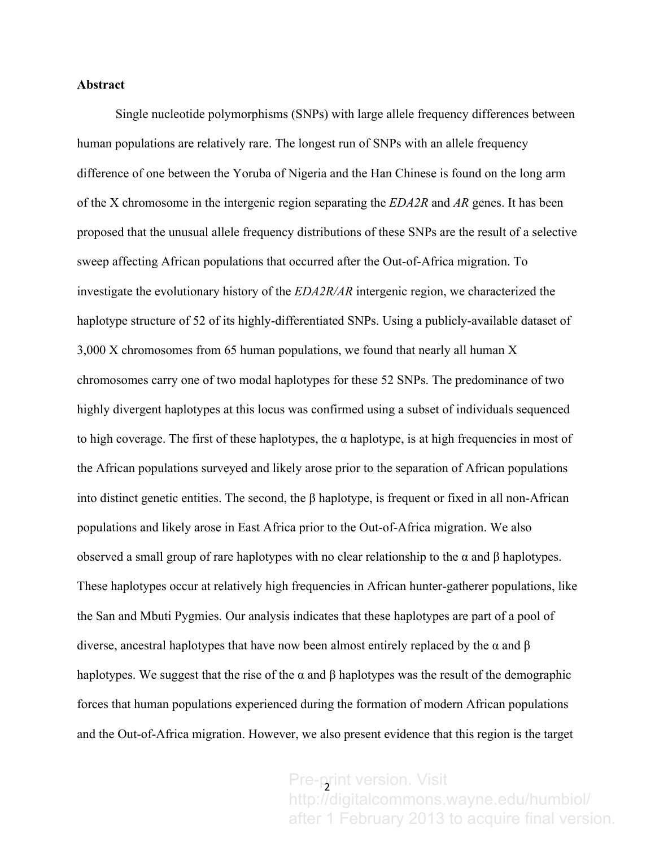### **Abstract**

Single nucleotide polymorphisms (SNPs) with large allele frequency differences between human populations are relatively rare. The longest run of SNPs with an allele frequency difference of one between the Yoruba of Nigeria and the Han Chinese is found on the long arm of the X chromosome in the intergenic region separating the *EDA2R* and *AR* genes. It has been proposed that the unusual allele frequency distributions of these SNPs are the result of a selective sweep affecting African populations that occurred after the Out-of-Africa migration. To investigate the evolutionary history of the *EDA2R/AR* intergenic region, we characterized the haplotype structure of 52 of its highly-differentiated SNPs. Using a publicly-available dataset of 3,000 X chromosomes from 65 human populations, we found that nearly all human X chromosomes carry one of two modal haplotypes for these 52 SNPs. The predominance of two highly divergent haplotypes at this locus was confirmed using a subset of individuals sequenced to high coverage. The first of these haplotypes, the  $\alpha$  haplotype, is at high frequencies in most of the African populations surveyed and likely arose prior to the separation of African populations into distinct genetic entities. The second, the β haplotype, is frequent or fixed in all non-African populations and likely arose in East Africa prior to the Out-of-Africa migration. We also observed a small group of rare haplotypes with no clear relationship to the α and β haplotypes. These haplotypes occur at relatively high frequencies in African hunter-gatherer populations, like the San and Mbuti Pygmies. Our analysis indicates that these haplotypes are part of a pool of diverse, ancestral haplotypes that have now been almost entirely replaced by the α and β haplotypes. We suggest that the rise of the  $\alpha$  and  $\beta$  haplotypes was the result of the demographic forces that human populations experienced during the formation of modern African populations and the Out-of-Africa migration. However, we also present evidence that this region is the target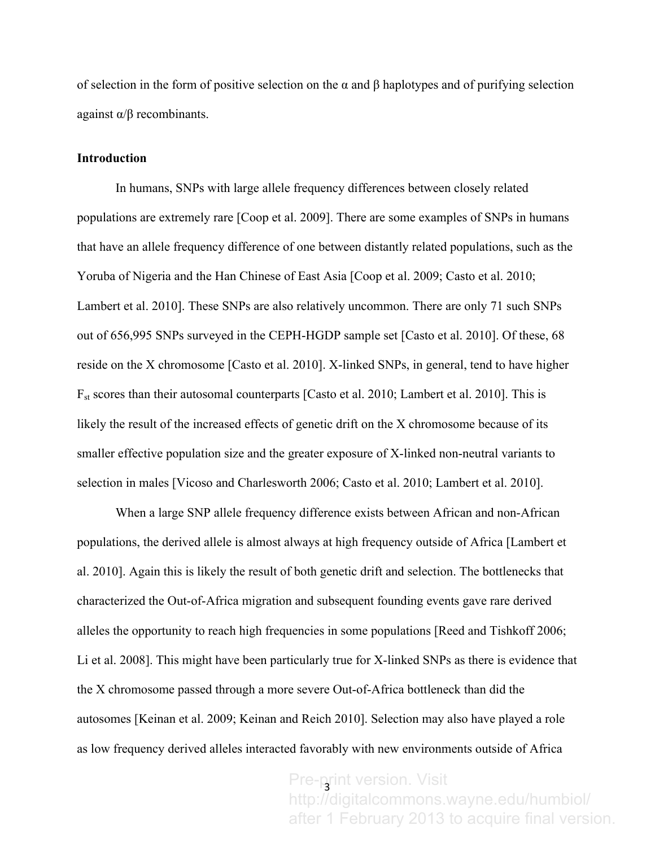of selection in the form of positive selection on the α and β haplotypes and of purifying selection against  $\alpha/\beta$  recombinants.

## **Introduction**

In humans, SNPs with large allele frequency differences between closely related populations are extremely rare [Coop et al. 2009]. There are some examples of SNPs in humans that have an allele frequency difference of one between distantly related populations, such as the Yoruba of Nigeria and the Han Chinese of East Asia [Coop et al. 2009; Casto et al. 2010; Lambert et al. 2010]. These SNPs are also relatively uncommon. There are only 71 such SNPs out of 656,995 SNPs surveyed in the CEPH-HGDP sample set [Casto et al. 2010]. Of these, 68 reside on the X chromosome [Casto et al. 2010]. X-linked SNPs, in general, tend to have higher  $F_{st}$  scores than their autosomal counterparts [Casto et al. 2010; Lambert et al. 2010]. This is likely the result of the increased effects of genetic drift on the X chromosome because of its smaller effective population size and the greater exposure of X-linked non-neutral variants to selection in males [Vicoso and Charlesworth 2006; Casto et al. 2010; Lambert et al. 2010].

When a large SNP allele frequency difference exists between African and non-African populations, the derived allele is almost always at high frequency outside of Africa [Lambert et al. 2010]. Again this is likely the result of both genetic drift and selection. The bottlenecks that characterized the Out-of-Africa migration and subsequent founding events gave rare derived alleles the opportunity to reach high frequencies in some populations [Reed and Tishkoff 2006; Li et al. 2008]. This might have been particularly true for X-linked SNPs as there is evidence that the X chromosome passed through a more severe Out-of-Africa bottleneck than did the autosomes [Keinan et al. 2009; Keinan and Reich 2010]. Selection may also have played a role as low frequency derived alleles interacted favorably with new environments outside of Africa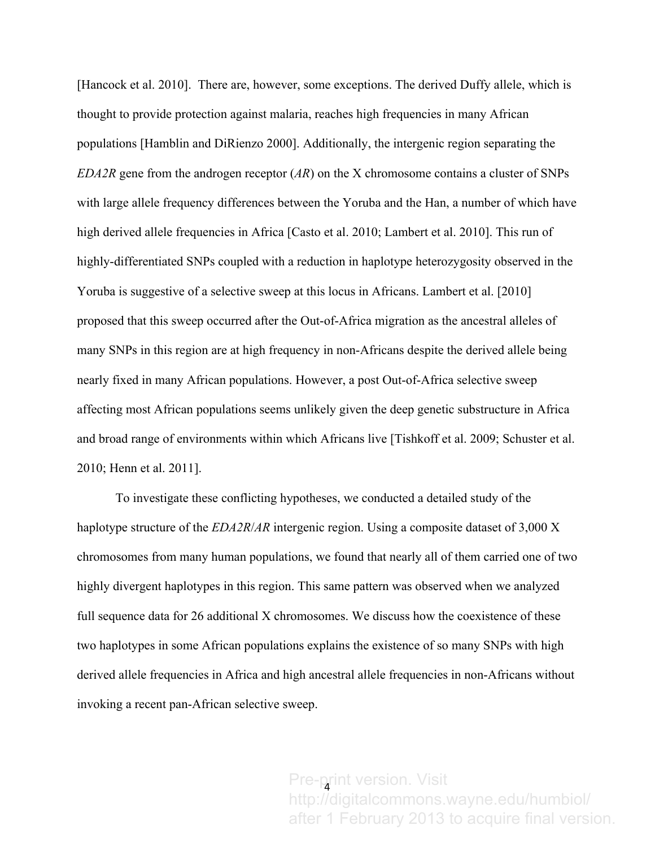[Hancock et al. 2010]. There are, however, some exceptions. The derived Duffy allele, which is thought to provide protection against malaria, reaches high frequencies in many African populations [Hamblin and DiRienzo 2000]. Additionally, the intergenic region separating the *EDA2R* gene from the androgen receptor (*AR*) on the X chromosome contains a cluster of SNPs with large allele frequency differences between the Yoruba and the Han, a number of which have high derived allele frequencies in Africa [Casto et al. 2010; Lambert et al. 2010]. This run of highly-differentiated SNPs coupled with a reduction in haplotype heterozygosity observed in the Yoruba is suggestive of a selective sweep at this locus in Africans. Lambert et al. [2010] proposed that this sweep occurred after the Out-of-Africa migration as the ancestral alleles of many SNPs in this region are at high frequency in non-Africans despite the derived allele being nearly fixed in many African populations. However, a post Out-of-Africa selective sweep affecting most African populations seems unlikely given the deep genetic substructure in Africa and broad range of environments within which Africans live [Tishkoff et al. 2009; Schuster et al. 2010; Henn et al. 2011].

To investigate these conflicting hypotheses, we conducted a detailed study of the haplotype structure of the *EDA2R*/*AR* intergenic region. Using a composite dataset of 3,000 X chromosomes from many human populations, we found that nearly all of them carried one of two highly divergent haplotypes in this region. This same pattern was observed when we analyzed full sequence data for 26 additional X chromosomes. We discuss how the coexistence of these two haplotypes in some African populations explains the existence of so many SNPs with high derived allele frequencies in Africa and high ancestral allele frequencies in non-Africans without invoking a recent pan-African selective sweep.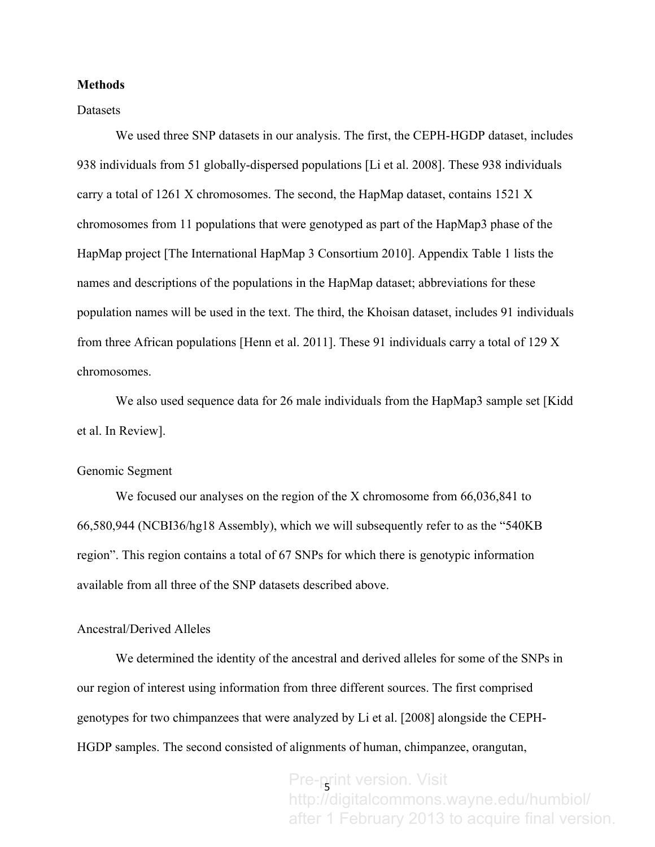#### **Methods**

#### **Datasets**

We used three SNP datasets in our analysis. The first, the CEPH-HGDP dataset, includes 938 individuals from 51 globally-dispersed populations [Li et al. 2008]. These 938 individuals carry a total of 1261 X chromosomes. The second, the HapMap dataset, contains 1521 X chromosomes from 11 populations that were genotyped as part of the HapMap3 phase of the HapMap project [The International HapMap 3 Consortium 2010]. Appendix Table 1 lists the names and descriptions of the populations in the HapMap dataset; abbreviations for these population names will be used in the text. The third, the Khoisan dataset, includes 91 individuals from three African populations [Henn et al. 2011]. These 91 individuals carry a total of 129 X chromosomes.

We also used sequence data for 26 male individuals from the HapMap3 sample set [Kidd] et al. In Review].

## Genomic Segment

We focused our analyses on the region of the X chromosome from  $66,036,841$  to 66,580,944 (NCBI36/hg18 Assembly), which we will subsequently refer to as the "540KB region". This region contains a total of 67 SNPs for which there is genotypic information available from all three of the SNP datasets described above.

## Ancestral/Derived Alleles

We determined the identity of the ancestral and derived alleles for some of the SNPs in our region of interest using information from three different sources. The first comprised genotypes for two chimpanzees that were analyzed by Li et al. [2008] alongside the CEPH-HGDP samples. The second consisted of alignments of human, chimpanzee, orangutan,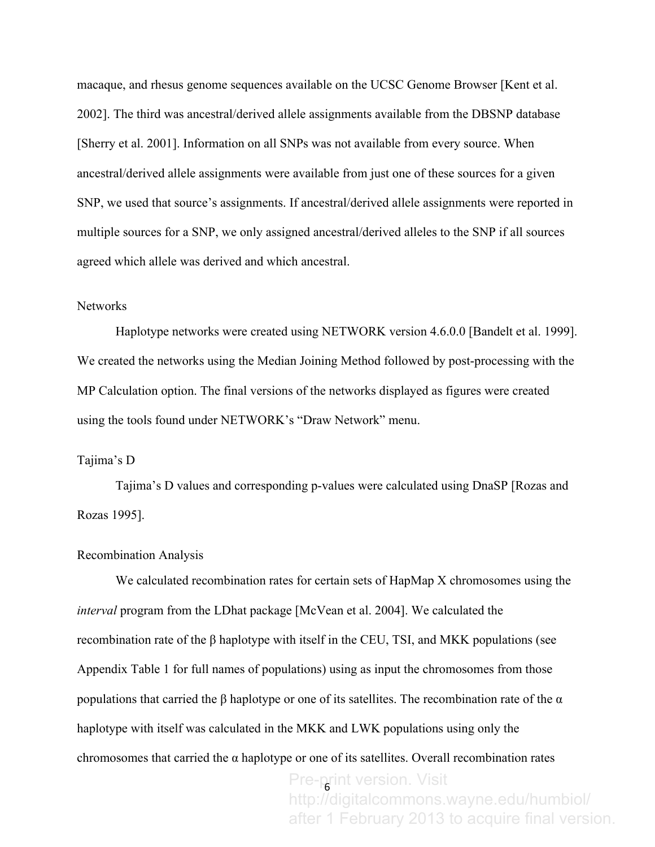macaque, and rhesus genome sequences available on the UCSC Genome Browser [Kent et al. 2002]. The third was ancestral/derived allele assignments available from the DBSNP database [Sherry et al. 2001]. Information on all SNPs was not available from every source. When ancestral/derived allele assignments were available from just one of these sources for a given SNP, we used that source's assignments. If ancestral/derived allele assignments were reported in multiple sources for a SNP, we only assigned ancestral/derived alleles to the SNP if all sources agreed which allele was derived and which ancestral.

## Networks

Haplotype networks were created using NETWORK version 4.6.0.0 [Bandelt et al. 1999]. We created the networks using the Median Joining Method followed by post-processing with the MP Calculation option. The final versions of the networks displayed as figures were created using the tools found under NETWORK's "Draw Network" menu.

## Tajima's D

Tajima's D values and corresponding p-values were calculated using DnaSP [Rozas and Rozas 1995].

#### Recombination Analysis

We calculated recombination rates for certain sets of HapMap X chromosomes using the *interval* program from the LDhat package [McVean et al. 2004]. We calculated the recombination rate of the β haplotype with itself in the CEU, TSI, and MKK populations (see Appendix Table 1 for full names of populations) using as input the chromosomes from those populations that carried the β haplotype or one of its satellites. The recombination rate of the  $\alpha$ haplotype with itself was calculated in the MKK and LWK populations using only the chromosomes that carried the  $\alpha$  haplotype or one of its satellites. Overall recombination rates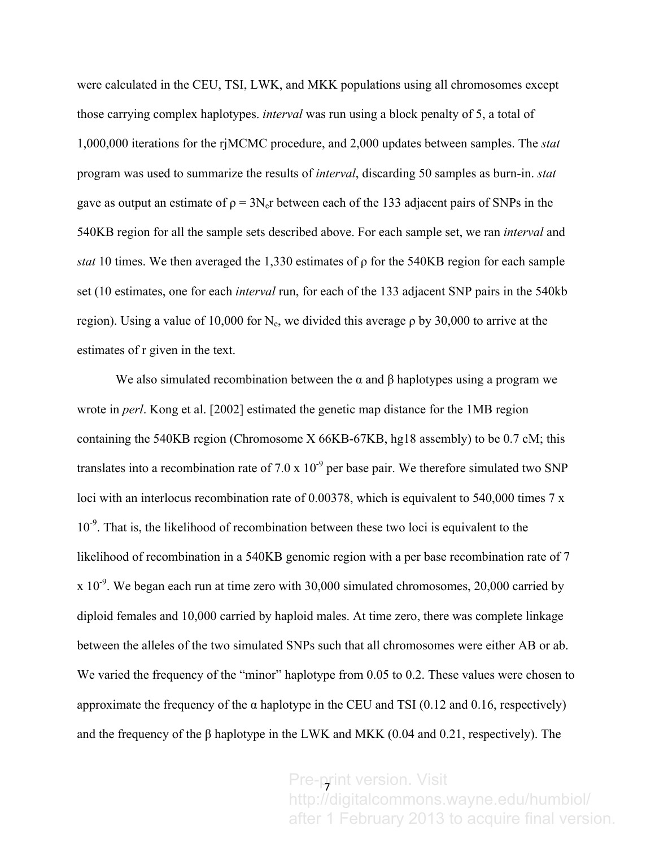were calculated in the CEU, TSI, LWK, and MKK populations using all chromosomes except those carrying complex haplotypes. *interval* was run using a block penalty of 5, a total of 1,000,000 iterations for the rjMCMC procedure, and 2,000 updates between samples. The *stat* program was used to summarize the results of *interval*, discarding 50 samples as burn-in. *stat* gave as output an estimate of  $\rho = 3N<sub>e</sub>r$  between each of the 133 adjacent pairs of SNPs in the 540KB region for all the sample sets described above. For each sample set, we ran *interval* and *stat* 10 times. We then averaged the 1,330 estimates of ρ for the 540KB region for each sample set (10 estimates, one for each *interval* run, for each of the 133 adjacent SNP pairs in the 540kb region). Using a value of 10,000 for N<sub>e</sub>, we divided this average  $\rho$  by 30,000 to arrive at the estimates of r given in the text.

We also simulated recombination between the  $\alpha$  and  $\beta$  haplotypes using a program we wrote in *perl*. Kong et al. [2002] estimated the genetic map distance for the 1MB region containing the 540KB region (Chromosome X 66KB-67KB, hg18 assembly) to be 0.7 cM; this translates into a recombination rate of 7.0 x  $10^{-9}$  per base pair. We therefore simulated two SNP loci with an interlocus recombination rate of 0.00378, which is equivalent to 540,000 times 7 x 10<sup>-9</sup>. That is, the likelihood of recombination between these two loci is equivalent to the likelihood of recombination in a 540KB genomic region with a per base recombination rate of 7  $x 10^{-9}$ . We began each run at time zero with 30,000 simulated chromosomes, 20,000 carried by diploid females and 10,000 carried by haploid males. At time zero, there was complete linkage between the alleles of the two simulated SNPs such that all chromosomes were either AB or ab. We varied the frequency of the "minor" haplotype from 0.05 to 0.2. These values were chosen to approximate the frequency of the  $\alpha$  haplotype in the CEU and TSI (0.12 and 0.16, respectively) and the frequency of the  $\beta$  haplotype in the LWK and MKK (0.04 and 0.21, respectively). The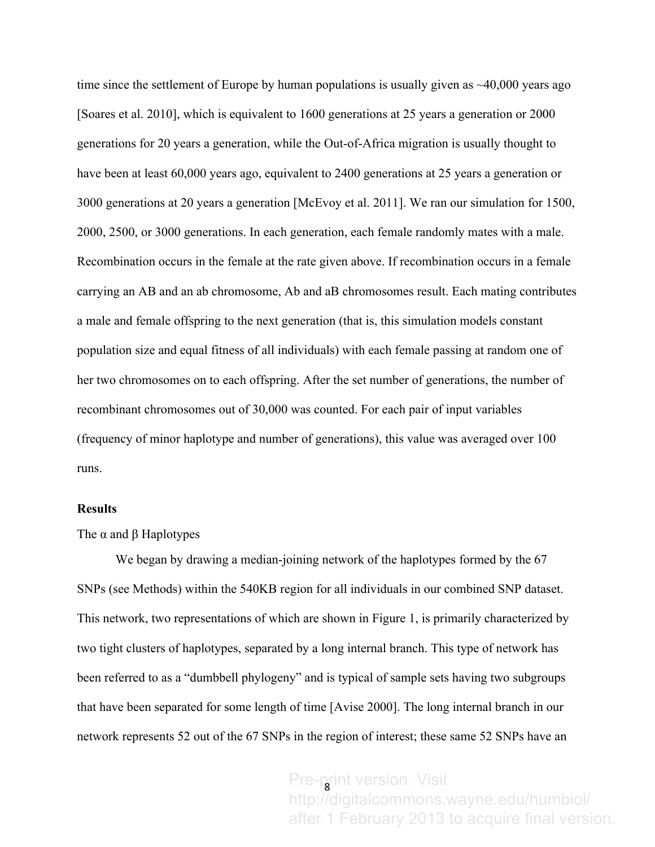time since the settlement of Europe by human populations is usually given as  $\sim$ 40,000 years ago [Soares et al. 2010], which is equivalent to 1600 generations at 25 years a generation or 2000 generations for 20 years a generation, while the Out-of-Africa migration is usually thought to have been at least 60,000 years ago, equivalent to 2400 generations at 25 years a generation or 3000 generations at 20 years a generation [McEvoy et al. 2011]. We ran our simulation for 1500, 2000, 2500, or 3000 generations. In each generation, each female randomly mates with a male. Recombination occurs in the female at the rate given above. If recombination occurs in a female carrying an AB and an ab chromosome, Ab and aB chromosomes result. Each mating contributes a male and female offspring to the next generation (that is, this simulation models constant population size and equal fitness of all individuals) with each female passing at random one of her two chromosomes on to each offspring. After the set number of generations, the number of recombinant chromosomes out of 30,000 was counted. For each pair of input variables (frequency of minor haplotype and number of generations), this value was averaged over 100 runs.

#### **Results**

The  $\alpha$  and  $\beta$  Haplotypes

We began by drawing a median-joining network of the haplotypes formed by the 67 SNPs (see Methods) within the 540KB region for all individuals in our combined SNP dataset. This network, two representations of which are shown in Figure 1, is primarily characterized by two tight clusters of haplotypes, separated by a long internal branch. This type of network has been referred to as a "dumbbell phylogeny" and is typical of sample sets having two subgroups that have been separated for some length of time [Avise 2000]. The long internal branch in our network represents 52 out of the 67 SNPs in the region of interest; these same 52 SNPs have an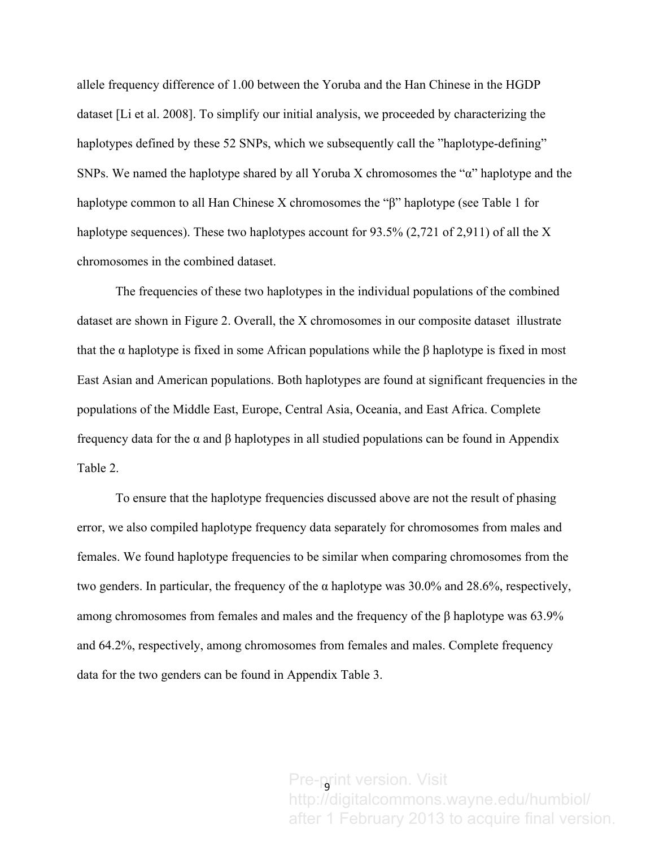allele frequency difference of 1.00 between the Yoruba and the Han Chinese in the HGDP dataset [Li et al. 2008]. To simplify our initial analysis, we proceeded by characterizing the haplotypes defined by these 52 SNPs, which we subsequently call the "haplotype-defining" SNPs. We named the haplotype shared by all Yoruba X chromosomes the "α" haplotype and the haplotype common to all Han Chinese X chromosomes the "β" haplotype (see Table 1 for haplotype sequences). These two haplotypes account for 93.5% (2,721 of 2,911) of all the X chromosomes in the combined dataset.

The frequencies of these two haplotypes in the individual populations of the combined dataset are shown in Figure 2. Overall, the X chromosomes in our composite dataset illustrate that the α haplotype is fixed in some African populations while the β haplotype is fixed in most East Asian and American populations. Both haplotypes are found at significant frequencies in the populations of the Middle East, Europe, Central Asia, Oceania, and East Africa. Complete frequency data for the α and β haplotypes in all studied populations can be found in Appendix Table 2.

 To ensure that the haplotype frequencies discussed above are not the result of phasing error, we also compiled haplotype frequency data separately for chromosomes from males and females. We found haplotype frequencies to be similar when comparing chromosomes from the two genders. In particular, the frequency of the α haplotype was 30.0% and 28.6%, respectively, among chromosomes from females and males and the frequency of the β haplotype was 63.9% and 64.2%, respectively, among chromosomes from females and males. Complete frequency data for the two genders can be found in Appendix Table 3.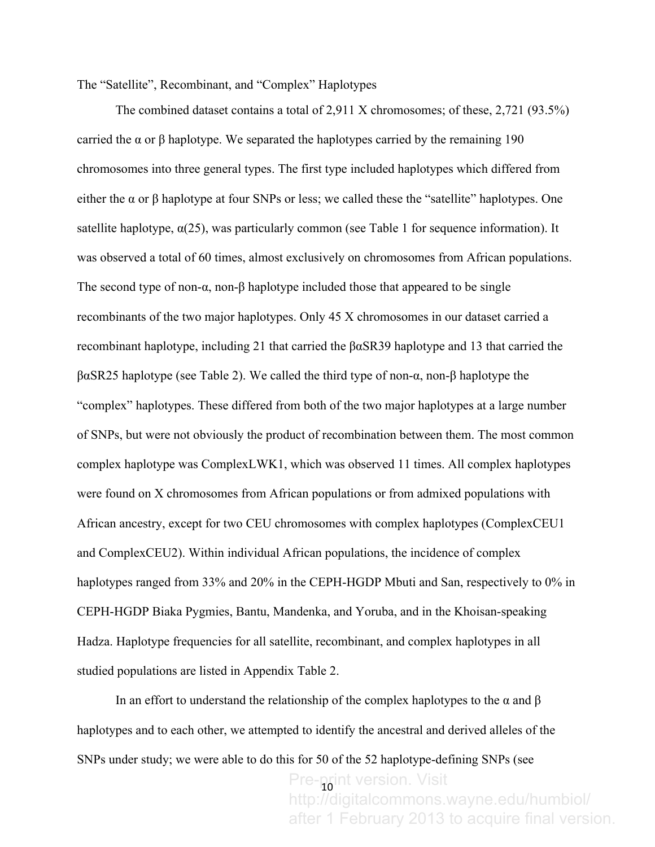The "Satellite", Recombinant, and "Complex" Haplotypes

The combined dataset contains a total of 2,911 X chromosomes; of these, 2,721 (93.5%) carried the α or β haplotype. We separated the haplotypes carried by the remaining 190 chromosomes into three general types. The first type included haplotypes which differed from either the  $\alpha$  or  $\beta$  haplotype at four SNPs or less; we called these the "satellite" haplotypes. One satellite haplotype,  $\alpha(25)$ , was particularly common (see Table 1 for sequence information). It was observed a total of 60 times, almost exclusively on chromosomes from African populations. The second type of non- $\alpha$ , non- $\beta$  haplotype included those that appeared to be single recombinants of the two major haplotypes. Only 45 X chromosomes in our dataset carried a recombinant haplotype, including 21 that carried the βαSR39 haplotype and 13 that carried the βαSR25 haplotype (see Table 2). We called the third type of non-α, non-β haplotype the "complex" haplotypes. These differed from both of the two major haplotypes at a large number of SNPs, but were not obviously the product of recombination between them. The most common complex haplotype was ComplexLWK1, which was observed 11 times. All complex haplotypes were found on X chromosomes from African populations or from admixed populations with African ancestry, except for two CEU chromosomes with complex haplotypes (ComplexCEU1 and ComplexCEU2). Within individual African populations, the incidence of complex haplotypes ranged from 33% and 20% in the CEPH-HGDP Mbuti and San, respectively to 0% in CEPH-HGDP Biaka Pygmies, Bantu, Mandenka, and Yoruba, and in the Khoisan-speaking Hadza. Haplotype frequencies for all satellite, recombinant, and complex haplotypes in all studied populations are listed in Appendix Table 2.

In an effort to understand the relationship of the complex haplotypes to the  $\alpha$  and  $\beta$ haplotypes and to each other, we attempted to identify the ancestral and derived alleles of the SNPs under study; we were able to do this for 50 of the 52 haplotype-defining SNPs (see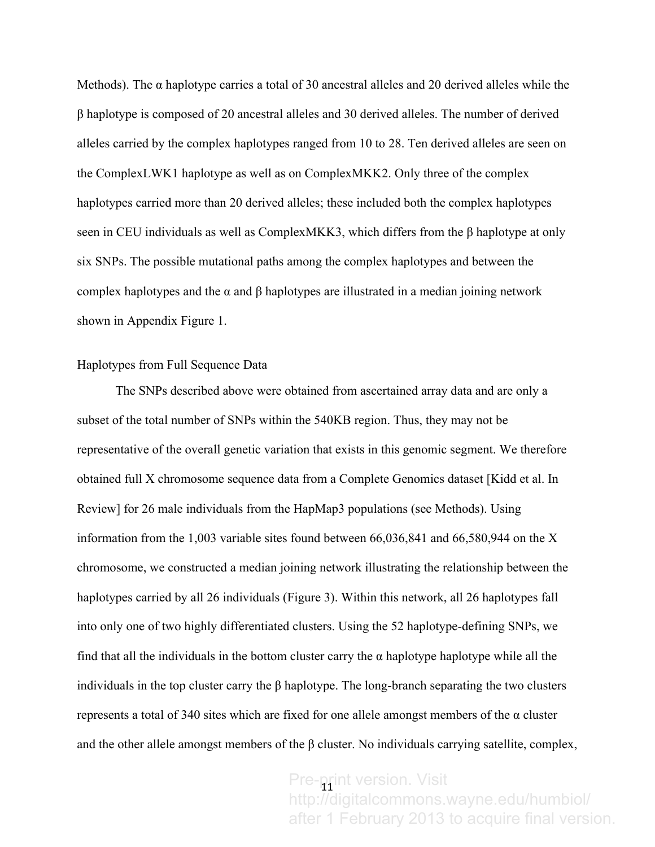Methods). The  $\alpha$  haplotype carries a total of 30 ancestral alleles and 20 derived alleles while the β haplotype is composed of 20 ancestral alleles and 30 derived alleles. The number of derived alleles carried by the complex haplotypes ranged from 10 to 28. Ten derived alleles are seen on the ComplexLWK1 haplotype as well as on ComplexMKK2. Only three of the complex haplotypes carried more than 20 derived alleles; these included both the complex haplotypes seen in CEU individuals as well as ComplexMKK3, which differs from the β haplotype at only six SNPs. The possible mutational paths among the complex haplotypes and between the complex haplotypes and the  $\alpha$  and  $\beta$  haplotypes are illustrated in a median joining network shown in Appendix Figure 1.

## Haplotypes from Full Sequence Data

The SNPs described above were obtained from ascertained array data and are only a subset of the total number of SNPs within the 540KB region. Thus, they may not be representative of the overall genetic variation that exists in this genomic segment. We therefore obtained full X chromosome sequence data from a Complete Genomics dataset [Kidd et al. In Review] for 26 male individuals from the HapMap3 populations (see Methods). Using information from the 1,003 variable sites found between 66,036,841 and 66,580,944 on the X chromosome, we constructed a median joining network illustrating the relationship between the haplotypes carried by all 26 individuals (Figure 3). Within this network, all 26 haplotypes fall into only one of two highly differentiated clusters. Using the 52 haplotype-defining SNPs, we find that all the individuals in the bottom cluster carry the  $\alpha$  haplotype haplotype while all the individuals in the top cluster carry the  $\beta$  haplotype. The long-branch separating the two clusters represents a total of 340 sites which are fixed for one allele amongst members of the α cluster and the other allele amongst members of the  $\beta$  cluster. No individuals carrying satellite, complex,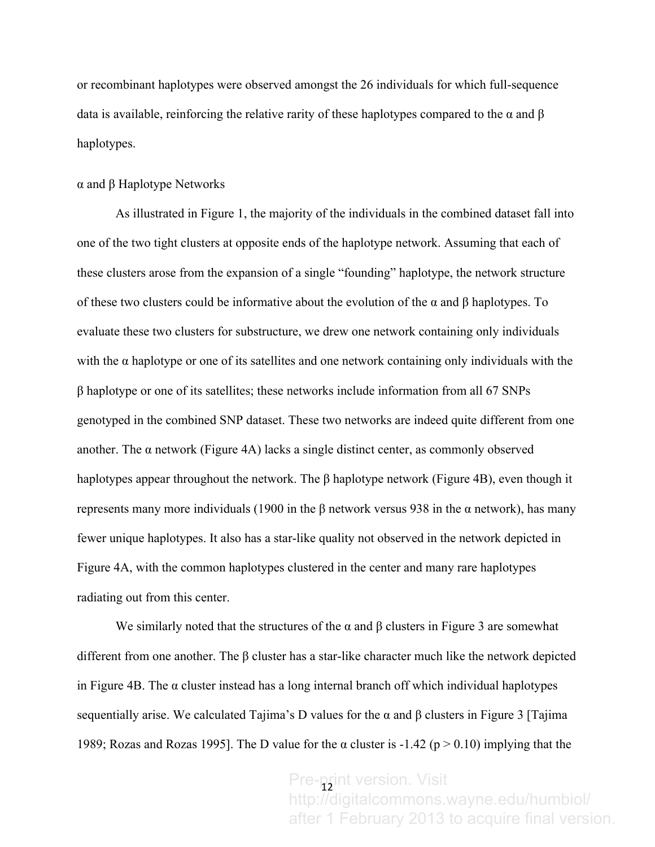or recombinant haplotypes were observed amongst the 26 individuals for which full-sequence data is available, reinforcing the relative rarity of these haplotypes compared to the  $\alpha$  and  $\beta$ haplotypes.

#### α and β Haplotype Networks

As illustrated in Figure 1, the majority of the individuals in the combined dataset fall into one of the two tight clusters at opposite ends of the haplotype network. Assuming that each of these clusters arose from the expansion of a single "founding" haplotype, the network structure of these two clusters could be informative about the evolution of the  $\alpha$  and  $\beta$  haplotypes. To evaluate these two clusters for substructure, we drew one network containing only individuals with the  $\alpha$  haplotype or one of its satellites and one network containing only individuals with the β haplotype or one of its satellites; these networks include information from all 67 SNPs genotyped in the combined SNP dataset. These two networks are indeed quite different from one another. The  $\alpha$  network (Figure 4A) lacks a single distinct center, as commonly observed haplotypes appear throughout the network. The β haplotype network (Figure 4B), even though it represents many more individuals (1900 in the β network versus 938 in the α network), has many fewer unique haplotypes. It also has a star-like quality not observed in the network depicted in Figure 4A, with the common haplotypes clustered in the center and many rare haplotypes radiating out from this center.

We similarly noted that the structures of the  $\alpha$  and  $\beta$  clusters in Figure 3 are somewhat different from one another. The β cluster has a star-like character much like the network depicted in Figure 4B. The  $\alpha$  cluster instead has a long internal branch off which individual haplotypes sequentially arise. We calculated Tajima's D values for the  $\alpha$  and  $\beta$  clusters in Figure 3 [Tajima] 1989; Rozas and Rozas 1995]. The D value for the  $\alpha$  cluster is -1.42 (p > 0.10) implying that the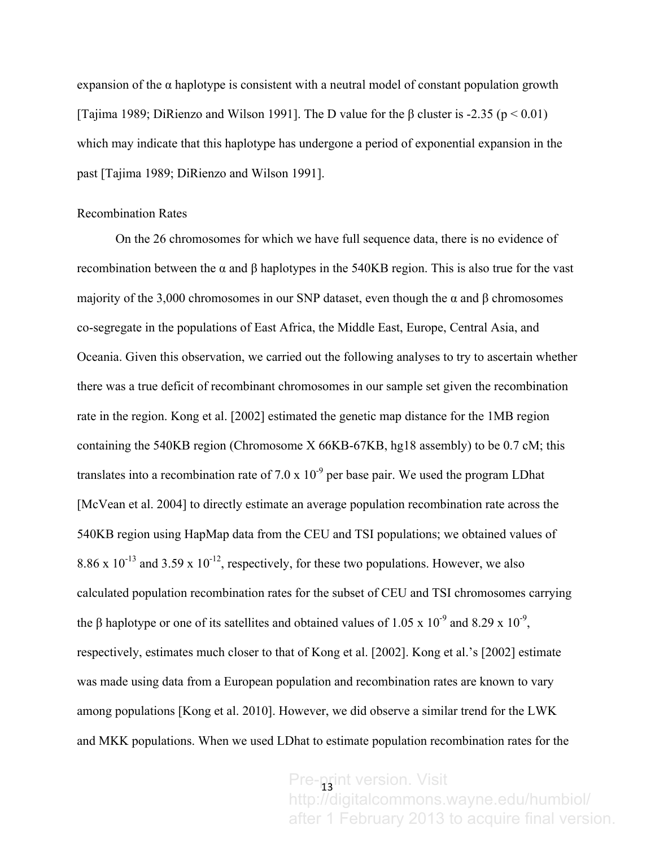expansion of the  $\alpha$  haplotype is consistent with a neutral model of constant population growth [Tajima 1989; DiRienzo and Wilson 1991]. The D value for the  $\beta$  cluster is -2.35 (p < 0.01) which may indicate that this haplotype has undergone a period of exponential expansion in the past [Tajima 1989; DiRienzo and Wilson 1991].

## Recombination Rates

On the 26 chromosomes for which we have full sequence data, there is no evidence of recombination between the α and β haplotypes in the 540KB region. This is also true for the vast majority of the 3,000 chromosomes in our SNP dataset, even though the  $\alpha$  and  $\beta$  chromosomes co-segregate in the populations of East Africa, the Middle East, Europe, Central Asia, and Oceania. Given this observation, we carried out the following analyses to try to ascertain whether there was a true deficit of recombinant chromosomes in our sample set given the recombination rate in the region. Kong et al. [2002] estimated the genetic map distance for the 1MB region containing the 540KB region (Chromosome X 66KB-67KB, hg18 assembly) to be 0.7 cM; this translates into a recombination rate of 7.0 x  $10^{-9}$  per base pair. We used the program LDhat [McVean et al. 2004] to directly estimate an average population recombination rate across the 540KB region using HapMap data from the CEU and TSI populations; we obtained values of 8.86 x  $10^{-13}$  and 3.59 x  $10^{-12}$ , respectively, for these two populations. However, we also calculated population recombination rates for the subset of CEU and TSI chromosomes carrying the  $\beta$  haplotype or one of its satellites and obtained values of 1.05 x 10<sup>-9</sup> and 8.29 x 10<sup>-9</sup>, respectively, estimates much closer to that of Kong et al. [2002]. Kong et al.'s [2002] estimate was made using data from a European population and recombination rates are known to vary among populations [Kong et al. 2010]. However, we did observe a similar trend for the LWK and MKK populations. When we used LDhat to estimate population recombination rates for the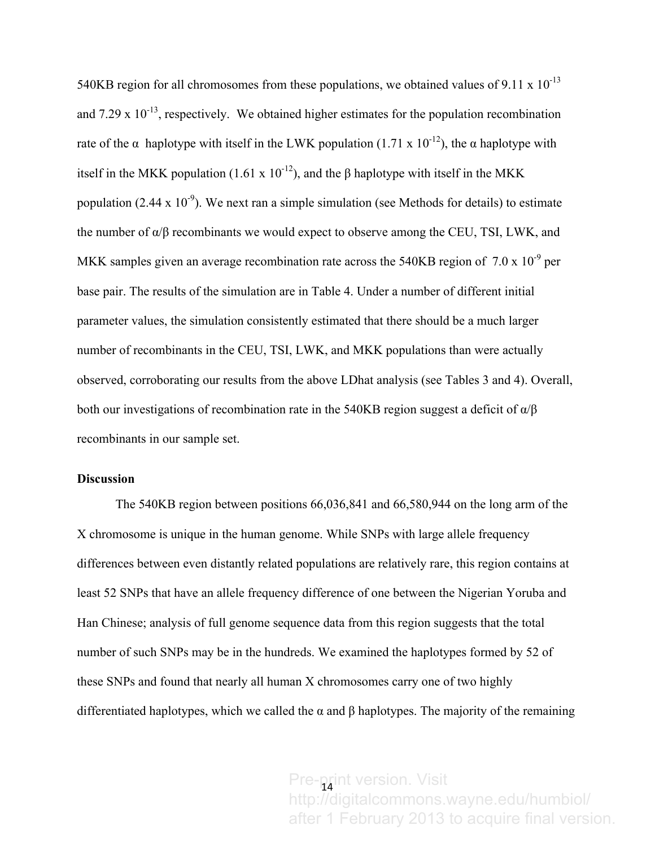540KB region for all chromosomes from these populations, we obtained values of 9.11 x  $10^{-13}$ and 7.29 x  $10^{-13}$ , respectively. We obtained higher estimates for the population recombination rate of the  $\alpha$  haplotype with itself in the LWK population (1.71 x 10<sup>-12</sup>), the  $\alpha$  haplotype with itself in the MKK population (1.61 x  $10^{-12}$ ), and the β haplotype with itself in the MKK population (2.44 x 10<sup>-9</sup>). We next ran a simple simulation (see Methods for details) to estimate the number of  $\alpha/\beta$  recombinants we would expect to observe among the CEU, TSI, LWK, and MKK samples given an average recombination rate across the 540KB region of  $7.0 \times 10^{-9}$  per base pair. The results of the simulation are in Table 4. Under a number of different initial parameter values, the simulation consistently estimated that there should be a much larger number of recombinants in the CEU, TSI, LWK, and MKK populations than were actually observed, corroborating our results from the above LDhat analysis (see Tables 3 and 4). Overall, both our investigations of recombination rate in the 540KB region suggest a deficit of  $\alpha/\beta$ recombinants in our sample set.

## **Discussion**

The 540KB region between positions 66,036,841 and 66,580,944 on the long arm of the X chromosome is unique in the human genome. While SNPs with large allele frequency differences between even distantly related populations are relatively rare, this region contains at least 52 SNPs that have an allele frequency difference of one between the Nigerian Yoruba and Han Chinese; analysis of full genome sequence data from this region suggests that the total number of such SNPs may be in the hundreds. We examined the haplotypes formed by 52 of these SNPs and found that nearly all human X chromosomes carry one of two highly differentiated haplotypes, which we called the  $\alpha$  and  $\beta$  haplotypes. The majority of the remaining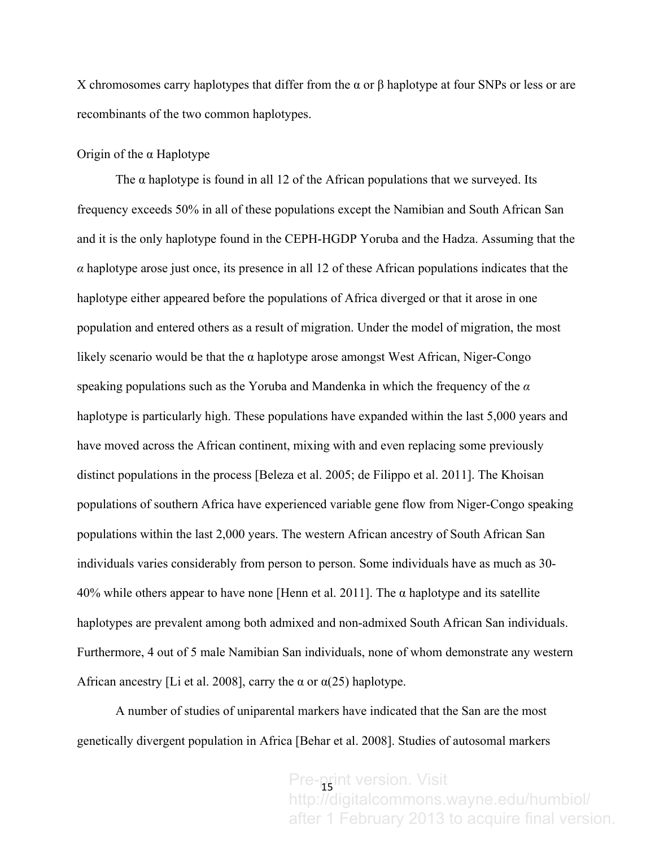X chromosomes carry haplotypes that differ from the α or β haplotype at four SNPs or less or are recombinants of the two common haplotypes.

## Origin of the α Haplotype

The  $\alpha$  haplotype is found in all 12 of the African populations that we surveyed. Its frequency exceeds 50% in all of these populations except the Namibian and South African San and it is the only haplotype found in the CEPH-HGDP Yoruba and the Hadza. Assuming that the  $\alpha$  haplotype arose just once, its presence in all 12 of these African populations indicates that the haplotype either appeared before the populations of Africa diverged or that it arose in one population and entered others as a result of migration. Under the model of migration, the most likely scenario would be that the  $\alpha$  haplotype arose amongst West African, Niger-Congo speaking populations such as the Yoruba and Mandenka in which the frequency of the *α* haplotype is particularly high. These populations have expanded within the last 5,000 years and have moved across the African continent, mixing with and even replacing some previously distinct populations in the process [Beleza et al. 2005; de Filippo et al. 2011]. The Khoisan populations of southern Africa have experienced variable gene flow from Niger-Congo speaking populations within the last 2,000 years. The western African ancestry of South African San individuals varies considerably from person to person. Some individuals have as much as 30- 40% while others appear to have none [Henn et al. 2011]. The α haplotype and its satellite haplotypes are prevalent among both admixed and non-admixed South African San individuals. Furthermore, 4 out of 5 male Namibian San individuals, none of whom demonstrate any western African ancestry [Li et al. 2008], carry the  $\alpha$  or  $\alpha$ (25) haplotype.

A number of studies of uniparental markers have indicated that the San are the most genetically divergent population in Africa [Behar et al. 2008]. Studies of autosomal markers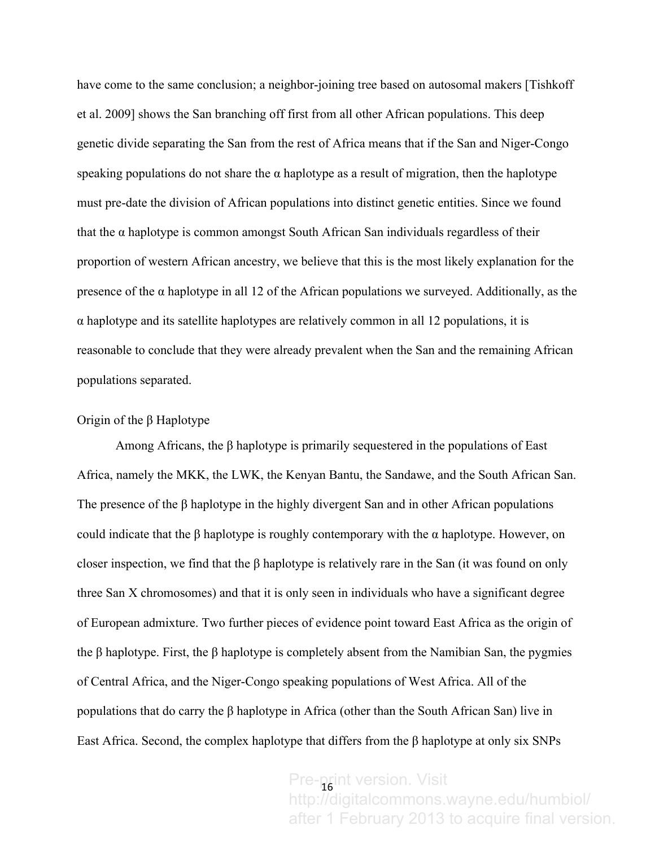have come to the same conclusion; a neighbor-joining tree based on autosomal makers [Tishkoff] et al. 2009] shows the San branching off first from all other African populations. This deep genetic divide separating the San from the rest of Africa means that if the San and Niger-Congo speaking populations do not share the  $\alpha$  haplotype as a result of migration, then the haplotype must pre-date the division of African populations into distinct genetic entities. Since we found that the  $\alpha$  haplotype is common amongst South African San individuals regardless of their proportion of western African ancestry, we believe that this is the most likely explanation for the presence of the  $\alpha$  haplotype in all 12 of the African populations we surveyed. Additionally, as the α haplotype and its satellite haplotypes are relatively common in all 12 populations, it is reasonable to conclude that they were already prevalent when the San and the remaining African populations separated.

### Origin of the β Haplotype

Among Africans, the β haplotype is primarily sequestered in the populations of East Africa, namely the MKK, the LWK, the Kenyan Bantu, the Sandawe, and the South African San. The presence of the β haplotype in the highly divergent San and in other African populations could indicate that the β haplotype is roughly contemporary with the α haplotype. However, on closer inspection, we find that the  $\beta$  haplotype is relatively rare in the San (it was found on only three San X chromosomes) and that it is only seen in individuals who have a significant degree of European admixture. Two further pieces of evidence point toward East Africa as the origin of the β haplotype. First, the β haplotype is completely absent from the Namibian San, the pygmies of Central Africa, and the Niger-Congo speaking populations of West Africa. All of the populations that do carry the β haplotype in Africa (other than the South African San) live in East Africa. Second, the complex haplotype that differs from the β haplotype at only six SNPs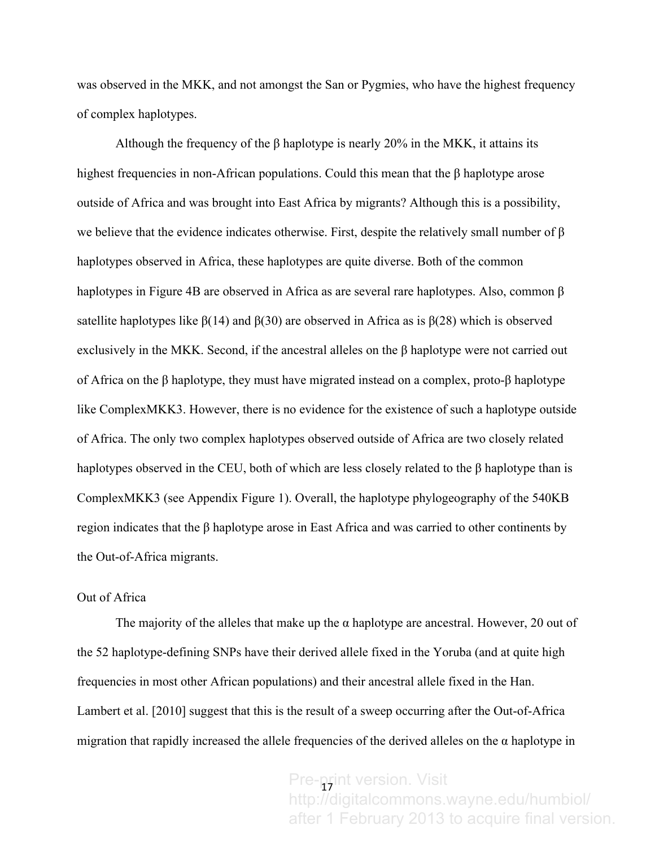was observed in the MKK, and not amongst the San or Pygmies, who have the highest frequency of complex haplotypes.

Although the frequency of the β haplotype is nearly 20% in the MKK, it attains its highest frequencies in non-African populations. Could this mean that the β haplotype arose outside of Africa and was brought into East Africa by migrants? Although this is a possibility, we believe that the evidence indicates otherwise. First, despite the relatively small number of  $\beta$ haplotypes observed in Africa, these haplotypes are quite diverse. Both of the common haplotypes in Figure 4B are observed in Africa as are several rare haplotypes. Also, common β satellite haplotypes like  $\beta(14)$  and  $\beta(30)$  are observed in Africa as is  $\beta(28)$  which is observed exclusively in the MKK. Second, if the ancestral alleles on the β haplotype were not carried out of Africa on the β haplotype, they must have migrated instead on a complex, proto-β haplotype like ComplexMKK3. However, there is no evidence for the existence of such a haplotype outside of Africa. The only two complex haplotypes observed outside of Africa are two closely related haplotypes observed in the CEU, both of which are less closely related to the  $\beta$  haplotype than is ComplexMKK3 (see Appendix Figure 1). Overall, the haplotype phylogeography of the 540KB region indicates that the β haplotype arose in East Africa and was carried to other continents by the Out-of-Africa migrants.

## Out of Africa

The majority of the alleles that make up the  $\alpha$  haplotype are ancestral. However, 20 out of the 52 haplotype-defining SNPs have their derived allele fixed in the Yoruba (and at quite high frequencies in most other African populations) and their ancestral allele fixed in the Han. Lambert et al. [2010] suggest that this is the result of a sweep occurring after the Out-of-Africa migration that rapidly increased the allele frequencies of the derived alleles on the  $\alpha$  haplotype in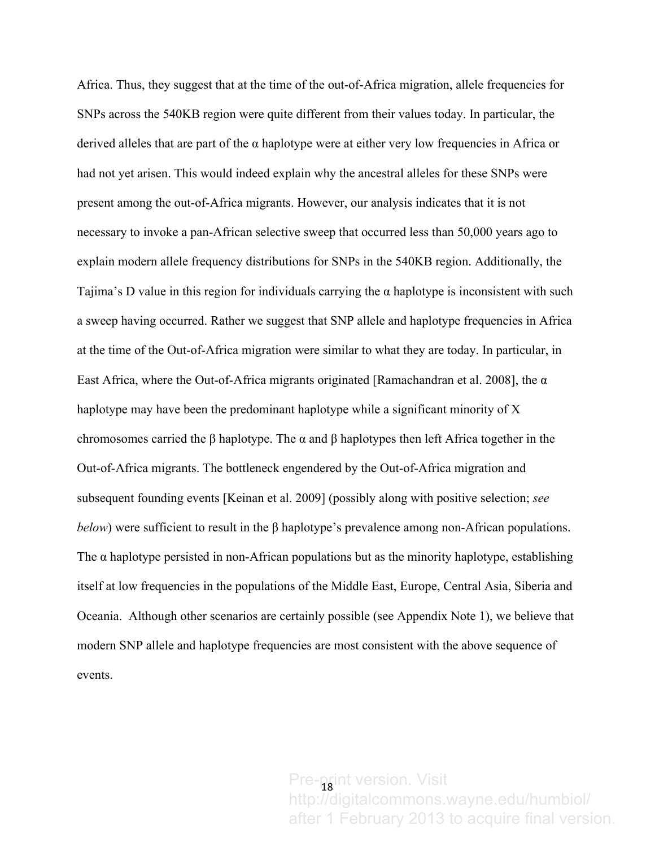Africa. Thus, they suggest that at the time of the out-of-Africa migration, allele frequencies for SNPs across the 540KB region were quite different from their values today. In particular, the derived alleles that are part of the α haplotype were at either very low frequencies in Africa or had not yet arisen. This would indeed explain why the ancestral alleles for these SNPs were present among the out-of-Africa migrants. However, our analysis indicates that it is not necessary to invoke a pan-African selective sweep that occurred less than 50,000 years ago to explain modern allele frequency distributions for SNPs in the 540KB region. Additionally, the Tajima's D value in this region for individuals carrying the  $\alpha$  haplotype is inconsistent with such a sweep having occurred. Rather we suggest that SNP allele and haplotype frequencies in Africa at the time of the Out-of-Africa migration were similar to what they are today. In particular, in East Africa, where the Out-of-Africa migrants originated [Ramachandran et al. 2008], the  $\alpha$ haplotype may have been the predominant haplotype while a significant minority of X chromosomes carried the β haplotype. The α and β haplotypes then left Africa together in the Out-of-Africa migrants. The bottleneck engendered by the Out-of-Africa migration and subsequent founding events [Keinan et al. 2009] (possibly along with positive selection; *see below*) were sufficient to result in the  $\beta$  haplotype's prevalence among non-African populations. The  $\alpha$  haplotype persisted in non-African populations but as the minority haplotype, establishing itself at low frequencies in the populations of the Middle East, Europe, Central Asia, Siberia and Oceania. Although other scenarios are certainly possible (see Appendix Note 1), we believe that modern SNP allele and haplotype frequencies are most consistent with the above sequence of events.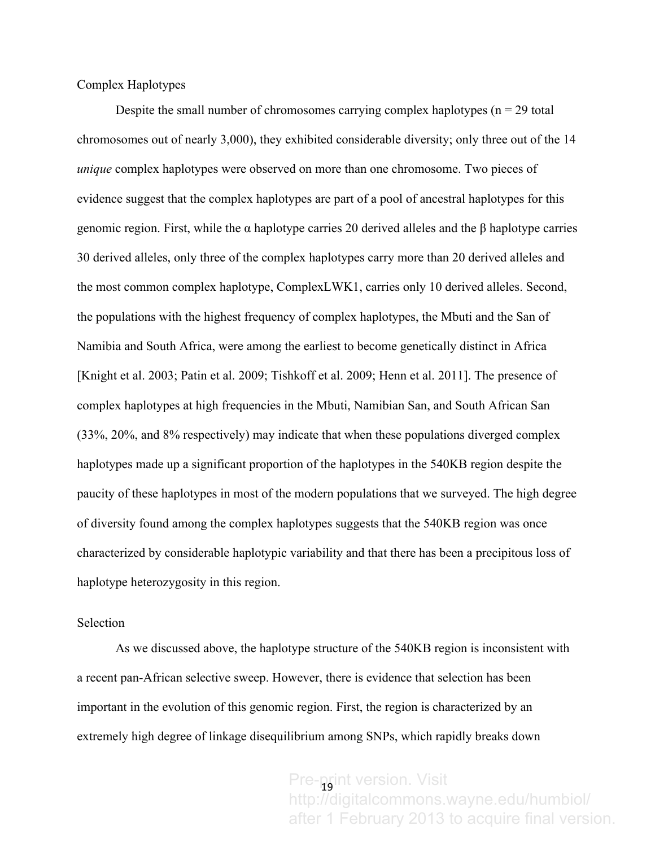Complex Haplotypes

Despite the small number of chromosomes carrying complex haplotypes  $(n = 29$  total chromosomes out of nearly 3,000), they exhibited considerable diversity; only three out of the 14 *unique* complex haplotypes were observed on more than one chromosome. Two pieces of evidence suggest that the complex haplotypes are part of a pool of ancestral haplotypes for this genomic region. First, while the α haplotype carries 20 derived alleles and the β haplotype carries 30 derived alleles, only three of the complex haplotypes carry more than 20 derived alleles and the most common complex haplotype, ComplexLWK1, carries only 10 derived alleles. Second, the populations with the highest frequency of complex haplotypes, the Mbuti and the San of Namibia and South Africa, were among the earliest to become genetically distinct in Africa [Knight et al. 2003; Patin et al. 2009; Tishkoff et al. 2009; Henn et al. 2011]. The presence of complex haplotypes at high frequencies in the Mbuti, Namibian San, and South African San (33%, 20%, and 8% respectively) may indicate that when these populations diverged complex haplotypes made up a significant proportion of the haplotypes in the 540KB region despite the paucity of these haplotypes in most of the modern populations that we surveyed. The high degree of diversity found among the complex haplotypes suggests that the 540KB region was once characterized by considerable haplotypic variability and that there has been a precipitous loss of haplotype heterozygosity in this region.

#### Selection

As we discussed above, the haplotype structure of the 540KB region is inconsistent with a recent pan-African selective sweep. However, there is evidence that selection has been important in the evolution of this genomic region. First, the region is characterized by an extremely high degree of linkage disequilibrium among SNPs, which rapidly breaks down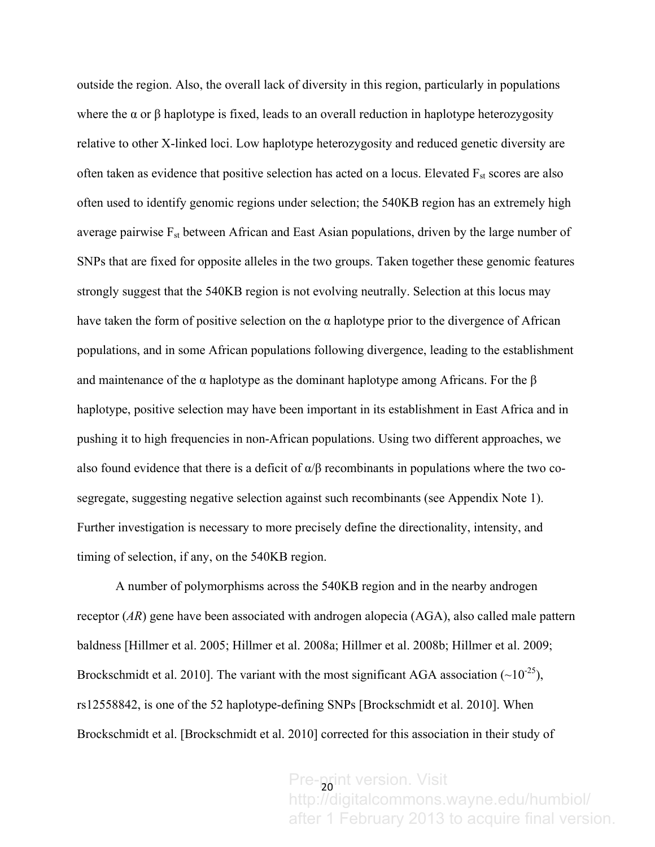outside the region. Also, the overall lack of diversity in this region, particularly in populations where the  $\alpha$  or  $\beta$  haplotype is fixed, leads to an overall reduction in haplotype heterozygosity relative to other X-linked loci. Low haplotype heterozygosity and reduced genetic diversity are often taken as evidence that positive selection has acted on a locus. Elevated  $F_{st}$  scores are also often used to identify genomic regions under selection; the 540KB region has an extremely high average pairwise  $F_{st}$  between African and East Asian populations, driven by the large number of SNPs that are fixed for opposite alleles in the two groups. Taken together these genomic features strongly suggest that the 540KB region is not evolving neutrally. Selection at this locus may have taken the form of positive selection on the  $\alpha$  haplotype prior to the divergence of African populations, and in some African populations following divergence, leading to the establishment and maintenance of the  $\alpha$  haplotype as the dominant haplotype among Africans. For the  $\beta$ haplotype, positive selection may have been important in its establishment in East Africa and in pushing it to high frequencies in non-African populations. Using two different approaches, we also found evidence that there is a deficit of  $\alpha/\beta$  recombinants in populations where the two cosegregate, suggesting negative selection against such recombinants (see Appendix Note 1). Further investigation is necessary to more precisely define the directionality, intensity, and timing of selection, if any, on the 540KB region.

A number of polymorphisms across the 540KB region and in the nearby androgen receptor (*AR*) gene have been associated with androgen alopecia (AGA), also called male pattern baldness [Hillmer et al. 2005; Hillmer et al. 2008a; Hillmer et al. 2008b; Hillmer et al. 2009; Brockschmidt et al. 2010]. The variant with the most significant AGA association  $(\sim 10^{-25})$ , rs12558842, is one of the 52 haplotype-defining SNPs [Brockschmidt et al. 2010]. When Brockschmidt et al. [Brockschmidt et al. 2010] corrected for this association in their study of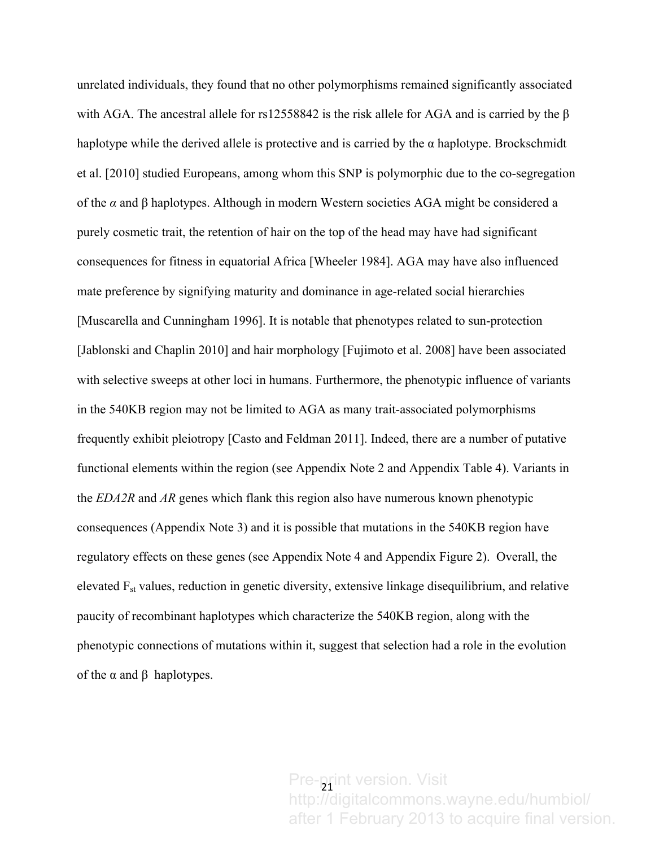unrelated individuals, they found that no other polymorphisms remained significantly associated with AGA. The ancestral allele for rs12558842 is the risk allele for AGA and is carried by the β haplotype while the derived allele is protective and is carried by the  $\alpha$  haplotype. Brockschmidt et al. [2010] studied Europeans, among whom this SNP is polymorphic due to the co-segregation of the *α* and β haplotypes. Although in modern Western societies AGA might be considered a purely cosmetic trait, the retention of hair on the top of the head may have had significant consequences for fitness in equatorial Africa [Wheeler 1984]. AGA may have also influenced mate preference by signifying maturity and dominance in age-related social hierarchies [Muscarella and Cunningham 1996]. It is notable that phenotypes related to sun-protection [Jablonski and Chaplin 2010] and hair morphology [Fujimoto et al. 2008] have been associated with selective sweeps at other loci in humans. Furthermore, the phenotypic influence of variants in the 540KB region may not be limited to AGA as many trait-associated polymorphisms frequently exhibit pleiotropy [Casto and Feldman 2011]. Indeed, there are a number of putative functional elements within the region (see Appendix Note 2 and Appendix Table 4). Variants in the *EDA2R* and *AR* genes which flank this region also have numerous known phenotypic consequences (Appendix Note 3) and it is possible that mutations in the 540KB region have regulatory effects on these genes (see Appendix Note 4 and Appendix Figure 2). Overall, the elevated Fst values, reduction in genetic diversity, extensive linkage disequilibrium, and relative paucity of recombinant haplotypes which characterize the 540KB region, along with the phenotypic connections of mutations within it, suggest that selection had a role in the evolution of the α and β haplotypes.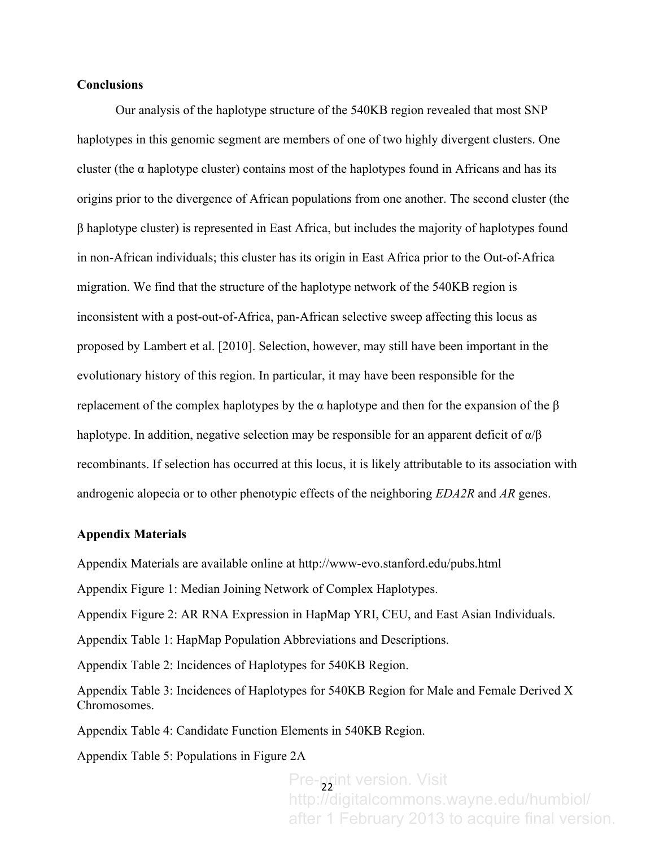### **Conclusions**

Our analysis of the haplotype structure of the 540KB region revealed that most SNP haplotypes in this genomic segment are members of one of two highly divergent clusters. One cluster (the  $\alpha$  haplotype cluster) contains most of the haplotypes found in Africans and has its origins prior to the divergence of African populations from one another. The second cluster (the β haplotype cluster) is represented in East Africa, but includes the majority of haplotypes found in non-African individuals; this cluster has its origin in East Africa prior to the Out-of-Africa migration. We find that the structure of the haplotype network of the 540KB region is inconsistent with a post-out-of-Africa, pan-African selective sweep affecting this locus as proposed by Lambert et al. [2010]. Selection, however, may still have been important in the evolutionary history of this region. In particular, it may have been responsible for the replacement of the complex haplotypes by the α haplotype and then for the expansion of the β haplotype. In addition, negative selection may be responsible for an apparent deficit of  $\alpha/\beta$ recombinants. If selection has occurred at this locus, it is likely attributable to its association with androgenic alopecia or to other phenotypic effects of the neighboring *EDA2R* and *AR* genes.

#### **Appendix Materials**

Appendix Materials are available online at http://www-evo.stanford.edu/pubs.html

Appendix Figure 1: Median Joining Network of Complex Haplotypes.

Appendix Figure 2: AR RNA Expression in HapMap YRI, CEU, and East Asian Individuals.

Appendix Table 1: HapMap Population Abbreviations and Descriptions.

Appendix Table 2: Incidences of Haplotypes for 540KB Region.

Appendix Table 3: Incidences of Haplotypes for 540KB Region for Male and Female Derived X Chromosomes.

Appendix Table 4: Candidate Function Elements in 540KB Region.

Appendix Table 5: Populations in Figure 2A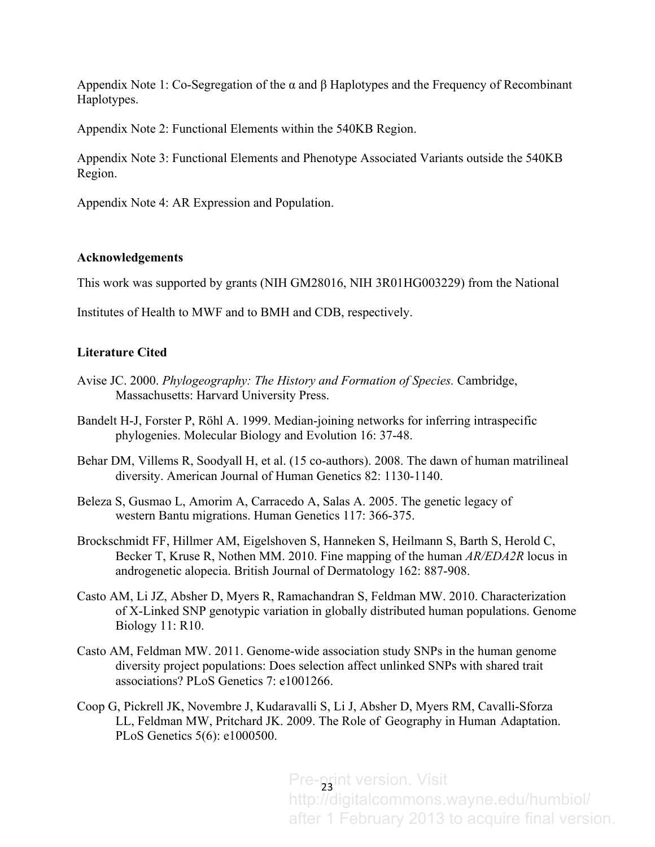Appendix Note 1: Co-Segregation of the  $\alpha$  and  $\beta$  Haplotypes and the Frequency of Recombinant Haplotypes.

Appendix Note 2: Functional Elements within the 540KB Region.

Appendix Note 3: Functional Elements and Phenotype Associated Variants outside the 540KB Region.

Appendix Note 4: AR Expression and Population.

## **Acknowledgements**

This work was supported by grants (NIH GM28016, NIH 3R01HG003229) from the National

Institutes of Health to MWF and to BMH and CDB, respectively.

## **Literature Cited**

- Avise JC. 2000. *Phylogeography: The History and Formation of Species.* Cambridge, Massachusetts: Harvard University Press.
- Bandelt H-J, Forster P, Röhl A. 1999. Median-joining networks for inferring intraspecific phylogenies. Molecular Biology and Evolution 16: 37-48.
- Behar DM, Villems R, Soodyall H, et al. (15 co-authors). 2008. The dawn of human matrilineal diversity. American Journal of Human Genetics 82: 1130-1140.
- Beleza S, Gusmao L, Amorim A, Carracedo A, Salas A. 2005. The genetic legacy of western Bantu migrations. Human Genetics 117: 366-375.
- Brockschmidt FF, Hillmer AM, Eigelshoven S, Hanneken S, Heilmann S, Barth S, Herold C, Becker T, Kruse R, Nothen MM. 2010. Fine mapping of the human *AR/EDA2R* locus in androgenetic alopecia. British Journal of Dermatology 162: 887-908.
- Casto AM, Li JZ, Absher D, Myers R, Ramachandran S, Feldman MW. 2010. Characterization of X-Linked SNP genotypic variation in globally distributed human populations. Genome Biology 11: R10.
- Casto AM, Feldman MW. 2011. Genome-wide association study SNPs in the human genome diversity project populations: Does selection affect unlinked SNPs with shared trait associations? PLoS Genetics 7: e1001266.
- Coop G, Pickrell JK, Novembre J, Kudaravalli S, Li J, Absher D, Myers RM, Cavalli-Sforza LL, Feldman MW, Pritchard JK. 2009. The Role of Geography in Human Adaptation. PLoS Genetics 5(6): e1000500.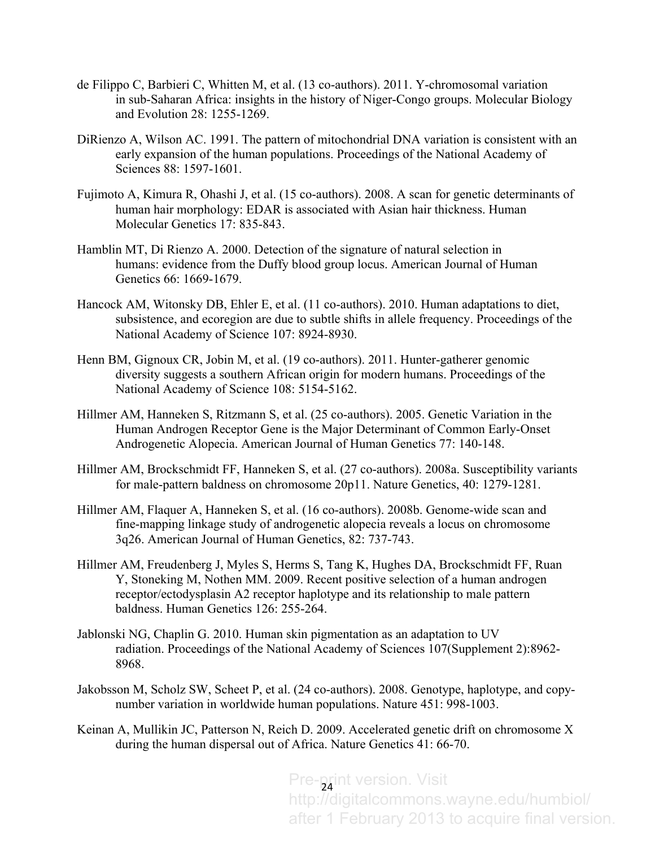- de Filippo C, Barbieri C, Whitten M, et al. (13 co-authors). 2011. Y-chromosomal variation in sub-Saharan Africa: insights in the history of Niger-Congo groups. Molecular Biology and Evolution 28: 1255-1269.
- DiRienzo A, Wilson AC. 1991. The pattern of mitochondrial DNA variation is consistent with an early expansion of the human populations. Proceedings of the National Academy of Sciences 88: 1597-1601.
- Fujimoto A, Kimura R, Ohashi J, et al. (15 co-authors). 2008. A scan for genetic determinants of human hair morphology: EDAR is associated with Asian hair thickness. Human Molecular Genetics 17: 835-843.
- Hamblin MT, Di Rienzo A. 2000. Detection of the signature of natural selection in humans: evidence from the Duffy blood group locus. American Journal of Human Genetics 66: 1669-1679.
- Hancock AM, Witonsky DB, Ehler E, et al. (11 co-authors). 2010. Human adaptations to diet, subsistence, and ecoregion are due to subtle shifts in allele frequency. Proceedings of the National Academy of Science 107: 8924-8930.
- Henn BM, Gignoux CR, Jobin M, et al. (19 co-authors). 2011. Hunter-gatherer genomic diversity suggests a southern African origin for modern humans. Proceedings of the National Academy of Science 108: 5154-5162.
- Hillmer AM, Hanneken S, Ritzmann S, et al. (25 co-authors). 2005. Genetic Variation in the Human Androgen Receptor Gene is the Major Determinant of Common Early-Onset Androgenetic Alopecia. American Journal of Human Genetics 77: 140-148.
- Hillmer AM, Brockschmidt FF, Hanneken S, et al. (27 co-authors). 2008a. Susceptibility variants for male-pattern baldness on chromosome 20p11. Nature Genetics, 40: 1279-1281.
- Hillmer AM, Flaquer A, Hanneken S, et al. (16 co-authors). 2008b. Genome-wide scan and fine-mapping linkage study of androgenetic alopecia reveals a locus on chromosome 3q26. American Journal of Human Genetics, 82: 737-743.
- Hillmer AM, Freudenberg J, Myles S, Herms S, Tang K, Hughes DA, Brockschmidt FF, Ruan Y, Stoneking M, Nothen MM. 2009. Recent positive selection of a human androgen receptor/ectodysplasin A2 receptor haplotype and its relationship to male pattern baldness. Human Genetics 126: 255-264.
- Jablonski NG, Chaplin G. 2010. Human skin pigmentation as an adaptation to UV radiation. Proceedings of the National Academy of Sciences 107(Supplement 2):8962- 8968.
- Jakobsson M, Scholz SW, Scheet P, et al. (24 co-authors). 2008. Genotype, haplotype, and copynumber variation in worldwide human populations. Nature 451: 998-1003.
- Keinan A, Mullikin JC, Patterson N, Reich D. 2009. Accelerated genetic drift on chromosome X during the human dispersal out of Africa. Nature Genetics 41: 66-70.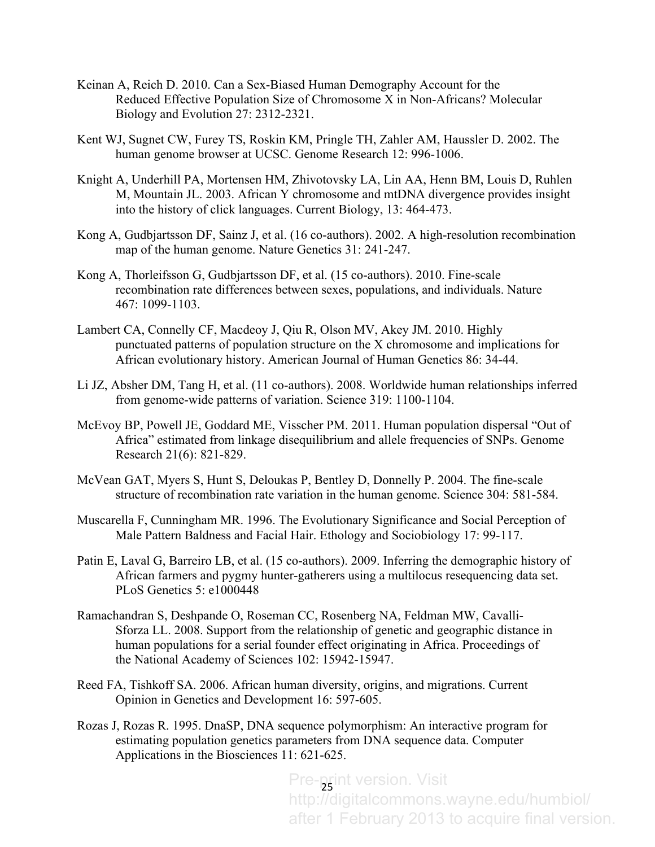- Keinan A, Reich D. 2010. Can a Sex-Biased Human Demography Account for the Reduced Effective Population Size of Chromosome X in Non-Africans? Molecular Biology and Evolution 27: 2312-2321.
- Kent WJ, Sugnet CW, Furey TS, Roskin KM, Pringle TH, Zahler AM, Haussler D. 2002. The human genome browser at UCSC. Genome Research 12: 996-1006.
- Knight A, Underhill PA, Mortensen HM, Zhivotovsky LA, Lin AA, Henn BM, Louis D, Ruhlen M, Mountain JL. 2003. African Y chromosome and mtDNA divergence provides insight into the history of click languages. Current Biology, 13: 464-473.
- Kong A, Gudbjartsson DF, Sainz J, et al. (16 co-authors). 2002. A high-resolution recombination map of the human genome. Nature Genetics 31: 241-247.
- Kong A, Thorleifsson G, Gudbjartsson DF, et al. (15 co-authors). 2010. Fine-scale recombination rate differences between sexes, populations, and individuals. Nature 467: 1099-1103.
- Lambert CA, Connelly CF, Macdeoy J, Qiu R, Olson MV, Akey JM. 2010. Highly punctuated patterns of population structure on the X chromosome and implications for African evolutionary history. American Journal of Human Genetics 86: 34-44.
- Li JZ, Absher DM, Tang H, et al. (11 co-authors). 2008. Worldwide human relationships inferred from genome-wide patterns of variation. Science 319: 1100-1104.
- McEvoy BP, Powell JE, Goddard ME, Visscher PM. 2011. Human population dispersal "Out of Africa" estimated from linkage disequilibrium and allele frequencies of SNPs. Genome Research 21(6): 821-829.
- McVean GAT, Myers S, Hunt S, Deloukas P, Bentley D, Donnelly P. 2004. The fine-scale structure of recombination rate variation in the human genome. Science 304: 581-584.
- Muscarella F, Cunningham MR. 1996. The Evolutionary Significance and Social Perception of Male Pattern Baldness and Facial Hair. Ethology and Sociobiology 17: 99-117.
- Patin E, Laval G, Barreiro LB, et al. (15 co-authors). 2009. Inferring the demographic history of African farmers and pygmy hunter-gatherers using a multilocus resequencing data set. PLoS Genetics 5: e1000448
- Ramachandran S, Deshpande O, Roseman CC, Rosenberg NA, Feldman MW, Cavalli-Sforza LL. 2008. Support from the relationship of genetic and geographic distance in human populations for a serial founder effect originating in Africa. Proceedings of the National Academy of Sciences 102: 15942-15947.
- Reed FA, Tishkoff SA. 2006. African human diversity, origins, and migrations. Current Opinion in Genetics and Development 16: 597-605.
- Rozas J, Rozas R. 1995. DnaSP, DNA sequence polymorphism: An interactive program for estimating population genetics parameters from DNA sequence data. Computer Applications in the Biosciences 11: 621-625.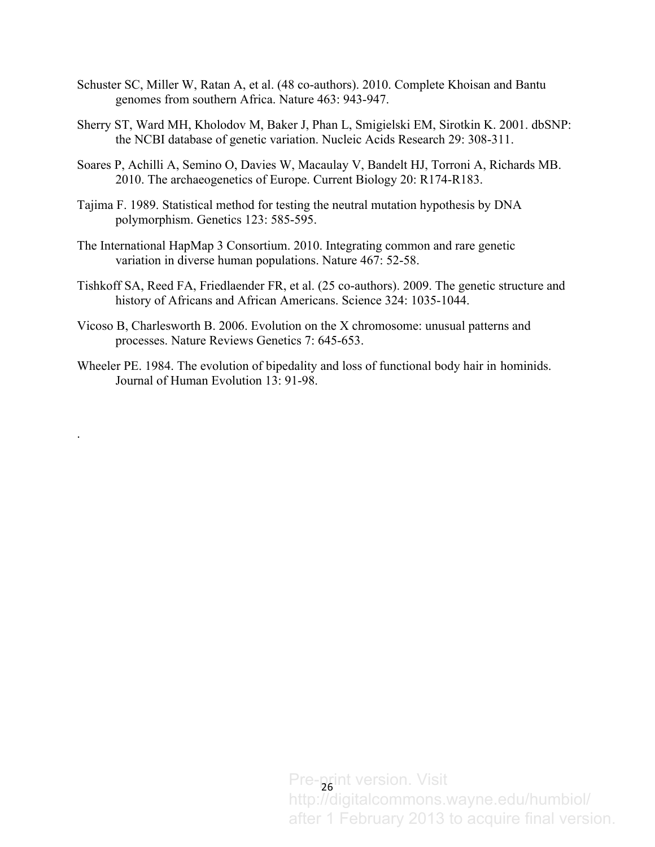- Schuster SC, Miller W, Ratan A, et al. (48 co-authors). 2010. Complete Khoisan and Bantu genomes from southern Africa. Nature 463: 943-947.
- Sherry ST, Ward MH, Kholodov M, Baker J, Phan L, Smigielski EM, Sirotkin K. 2001. dbSNP: the NCBI database of genetic variation. Nucleic Acids Research 29: 308-311.
- Soares P, Achilli A, Semino O, Davies W, Macaulay V, Bandelt HJ, Torroni A, Richards MB. 2010. The archaeogenetics of Europe. Current Biology 20: R174-R183.
- Tajima F. 1989. Statistical method for testing the neutral mutation hypothesis by DNA polymorphism. Genetics 123: 585-595.
- The International HapMap 3 Consortium. 2010. Integrating common and rare genetic variation in diverse human populations. Nature 467: 52-58.
- Tishkoff SA, Reed FA, Friedlaender FR, et al. (25 co-authors). 2009. The genetic structure and history of Africans and African Americans. Science 324: 1035-1044.
- Vicoso B, Charlesworth B. 2006. Evolution on the X chromosome: unusual patterns and processes. Nature Reviews Genetics 7: 645-653.

.

Wheeler PE. 1984. The evolution of bipedality and loss of functional body hair in hominids. Journal of Human Evolution 13: 91-98.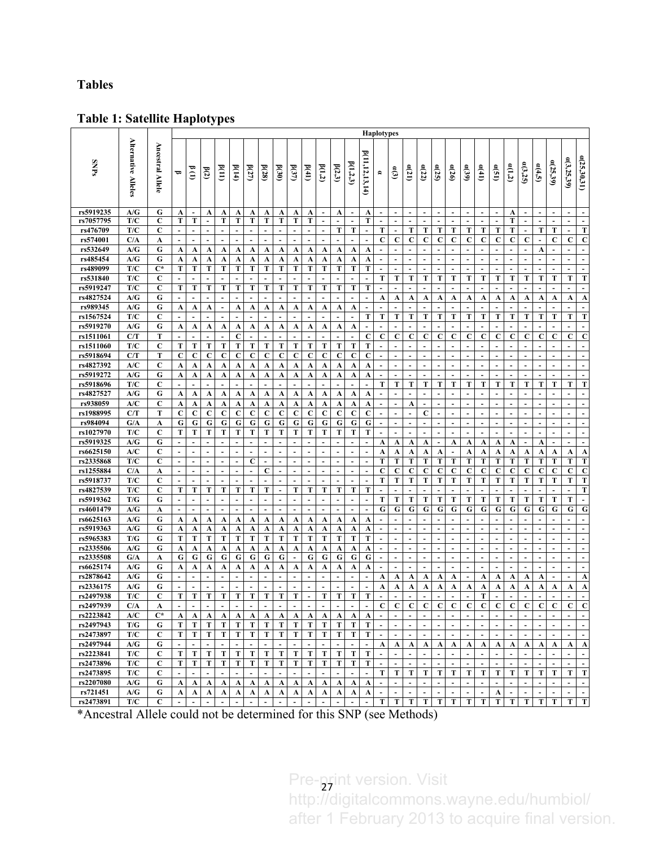## **Tables**

## **Table 1: Satellite Haplotypes**

|                        |                            |                            | <b>Haplotypes</b>        |                          |                          |                          |                     |                |                      |                               |                          |                |                          |                               |                          |                               |                          |                          |                          |                          |                          |                          |                               |                               |                          |                          |                          |                          |                          |                          |                                   |
|------------------------|----------------------------|----------------------------|--------------------------|--------------------------|--------------------------|--------------------------|---------------------|----------------|----------------------|-------------------------------|--------------------------|----------------|--------------------------|-------------------------------|--------------------------|-------------------------------|--------------------------|--------------------------|--------------------------|--------------------------|--------------------------|--------------------------|-------------------------------|-------------------------------|--------------------------|--------------------------|--------------------------|--------------------------|--------------------------|--------------------------|-----------------------------------|
| <b>SNPs</b>            | <b>Alternative Alleles</b> | Ancestral<br><b>Allele</b> | ᇢ                        | $\frac{1}{2}$            | B(2)                     | B(11)                    | B(14)               | B(27)          | b(28)                | (30)                          | $\beta(37)$              | b(41)          | B(1,2)                   | B(2,3)                        | B(1,2,3)                 | <b><i>p</i></b> (11,12,13,14) | e.                       | ද්ව                      | a(21)                    | a(22)                    | a(25)                    | a(26)                    | $\mathfrak{a}(39)$            | a(41)                         | a(51)                    | $\alpha(1,2)$            | a(3,25)                  | a(4,5)                   | a(25,39)                 | a(3,25,39)               | a(25,30,31)                       |
| rs5919235              | A/G                        | G                          | A                        | $\overline{\phantom{a}}$ | A                        | A                        | A                   | A              | A                    | A                             | A                        | A              | $\overline{\phantom{a}}$ | A                             | $\blacksquare$           | A                             | $\overline{\phantom{a}}$ | $\blacksquare$           | $\blacksquare$           | $\blacksquare$           | $\blacksquare$           | $\overline{\phantom{a}}$ | $\overline{\phantom{a}}$      | $\blacksquare$                | $\blacksquare$           | A                        | $\blacksquare$           | $\blacksquare$           | $\blacksquare$           |                          | $\sim$                            |
| rs7057795              | T/C                        | $\mathbf{C}$               | т                        | T                        | $\blacksquare$           | Т                        | Т                   | т              | Т                    | Т                             | T                        | T              | $\blacksquare$           | $\overline{a}$                | ÷,                       | T                             | $\overline{\phantom{a}}$ | ÷                        |                          | L,                       | $\overline{\phantom{a}}$ | $\overline{\phantom{a}}$ | $\blacksquare$                |                               | ä,                       | Т                        | $\blacksquare$           | $\blacksquare$           | $\blacksquare$           | ä,                       | $\blacksquare$                    |
| rs476709               | T/C                        | C                          | $\overline{\phantom{a}}$ | $\overline{a}$           | ÷.                       | $\mathbf{r}$             | $\mathbf{r}$        | ÷              | $\blacksquare$       | $\sim$                        | $\sim$                   | $\mathbf{r}$   | $\sim$                   | т                             | Т                        | $\blacksquare$                | Т                        | $\sim$                   | т                        | т                        | Т                        | т                        | т                             | Т                             | т                        | т                        | $\sim$                   | T                        | т                        | $\overline{\phantom{a}}$ | T                                 |
| rs574001               | C/A                        | A                          | $\overline{a}$           | $\overline{a}$           | $\overline{a}$           | $\sim$                   | $\sim$              | $\overline{a}$ | $\overline{a}$       | $\overline{a}$                | ÷.                       | $\sim$         | ÷.                       | $\overline{\phantom{a}}$      | ÷.                       | $\overline{a}$                | $\mathbf C$              | $\mathbf C$              | C                        | $\mathbf c$              | C                        | C                        | C                             | C                             | $\mathbf c$              | $\mathbf c$              | $\mathbf c$              | $\sim$                   | $\mathbf C$              | $\mathbf c$              | $\mathbf C$                       |
| rs532649               | A/G                        | G                          | A                        | A                        | A                        | A                        | A                   | A              | A                    | A                             | A                        | A              | A                        | A                             | A                        | A                             | ÷.                       | ÷.                       | $\overline{a}$           | $\sim$                   | $\overline{a}$           | $\blacksquare$           | $\overline{a}$                | $\sim$                        | ÷.                       | ÷.                       | $\overline{\phantom{a}}$ | A                        | $\sim$                   | ÷.                       | $\mathbf{r}$                      |
| rs485454               | A/G                        | G                          | A                        | A                        | A                        | A                        | A                   | A              | A                    | A                             | A                        | A              | A                        | A                             | A                        | A                             | $\overline{a}$           | $\blacksquare$           | $\sim$                   | $\sim$                   | $\blacksquare$           | $\sim$                   | $\overline{a}$                | $\sim$                        | ÷.                       | ÷.                       | $\sim$                   | $\sim$                   | $\sim$                   | $\sim$                   | $\sim$                            |
| rs489099               | T/C                        | $C^*$                      | Т                        | Т                        | Т                        | Т                        | Т                   | T              | Т                    | T                             | T                        | T              | T                        | T                             | Т                        | T                             | $\overline{a}$           | $\blacksquare$           | $\blacksquare$           | $\overline{a}$           | ÷.                       | ÷.                       | $\overline{a}$                | $\overline{a}$                | ä,                       | ÷.                       | $\overline{a}$           | ÷.                       | $\overline{a}$           | ÷.                       | $\sim$                            |
| rs531840               | T/C                        | C                          | ÷                        | $\overline{a}$           | ۰                        |                          | $\overline{a}$      |                |                      |                               | $\overline{a}$           | $\overline{a}$ | $\overline{a}$           | $\blacksquare$                | $\overline{a}$           | $\blacksquare$                | Т                        | T                        | T                        | T                        | Т                        | Т                        | Т                             | Т                             | T                        | Т                        | Т                        | T                        | Т                        | Т                        | T                                 |
| rs5919247              | T/C                        | C                          | Т                        | Т                        | Т                        | Т                        | Т                   | T              | Т                    | T                             | T                        | T              | T                        | T                             | T                        | T                             | $\overline{\phantom{a}}$ |                          |                          | L,                       |                          | $\overline{\phantom{a}}$ | ÷                             |                               | ÷                        | ÷.                       | $\overline{a}$           |                          |                          | $\blacksquare$           | $\sim$                            |
| rs4827524              | A/G                        | G                          |                          | $\overline{\phantom{a}}$ |                          |                          |                     |                |                      |                               |                          |                | $\blacksquare$           | $\blacksquare$                | $\blacksquare$           | $\blacksquare$                | A                        | A                        | A                        | A                        | A                        | A                        | A                             | A                             | A                        | A                        | A                        | A                        | A                        | A                        | A                                 |
| rs989345               | A/G                        | G                          | A                        | A                        | A                        | $\blacksquare$           | A                   | A              | A                    | A                             | A                        | A              | A                        | A                             | A                        | $\blacksquare$                |                          |                          |                          |                          |                          | $\overline{a}$           |                               | $\overline{a}$                | $\ddot{\phantom{1}}$     | $\ddot{\phantom{1}}$     | $\overline{a}$           |                          | ÷                        | ÷                        | $\overline{\phantom{a}}$          |
| rs1567524              | T/C                        | C                          | ÷                        | ÷                        | $\overline{\phantom{a}}$ | $\overline{a}$           |                     |                |                      |                               |                          |                | ÷,                       | $\overline{\phantom{a}}$      | $\overline{\phantom{a}}$ | т                             | Т                        | T                        | T                        | T                        | Т                        | Т                        | Т                             | Т                             | T                        | T                        | T                        | T                        | T                        | т                        | Т                                 |
| rs5919270              | A/G                        | G                          | A                        | A                        | A                        | A                        | A                   | A              | A                    | A                             | A                        | A              | A                        | A                             | A                        | $\overline{\phantom{a}}$      |                          |                          | $\overline{\phantom{a}}$ |                          |                          | $\sim$                   |                               | $\blacksquare$                | $\overline{a}$           | $\overline{a}$           | $\overline{a}$           | $\overline{a}$           | ÷                        |                          |                                   |
| rs1511061              | C/T                        | T                          | ÷                        | $\overline{a}$           | ÷                        | ÷.                       | $\mathbf c$         | ÷              |                      | ÷.                            | ÷.                       | ÷.             | $\overline{a}$           | ÷.                            | $\overline{a}$           | C                             | $\mathbf c$              | C                        | $\mathbf C$              | C                        | C                        | C                        | C                             | C                             | $\mathbf c$              | $\mathbf c$              | $\mathbf c$              | C                        | C                        | $\mathbf C$              | $\mathbf C$                       |
| rs1511060              | T/C                        | C                          | Т                        | Т                        | Т                        | Т                        | Т                   | Т              | Т                    | Т                             | T                        | T              | T                        | т                             | Т                        | T                             | $\overline{a}$           | $\blacksquare$           | $\blacksquare$           | $\overline{a}$           | $\overline{a}$           | $\overline{a}$           | $\blacksquare$                | $\overline{a}$                | $\blacksquare$           | $\overline{a}$           | $\overline{a}$           | $\overline{a}$           | ÷                        | $\blacksquare$           | $\blacksquare$                    |
| rs5918694              | C/T                        | Т                          | C                        | C                        | C                        | $\mathbf C$              | $\mathbf C$         | C              | C                    | C                             | C                        | $\mathbf C$    | $\mathbf C$              | $\mathbf C$                   | $\mathbf C$              | $\mathbf C$                   | $\overline{\phantom{a}}$ | $\sim$                   | $\blacksquare$           | $\blacksquare$           | $\blacksquare$           | $\sim$                   | $\blacksquare$                | $\blacksquare$                | ÷                        | $\blacksquare$           | $\sim$                   | $\sim$                   | $\sim$                   | $\blacksquare$           | $\sim$                            |
| rs4827392              | A/C                        | C                          | A                        | A                        | A                        | A                        | A                   | A              | A                    | A                             | A                        | A              | A                        | A                             | A                        | A                             | $\overline{\phantom{a}}$ | $\blacksquare$           | $\blacksquare$           | $\blacksquare$           |                          | $\overline{\phantom{a}}$ | $\blacksquare$                | $\blacksquare$                | $\blacksquare$           | $\blacksquare$           | $\blacksquare$           | $\blacksquare$           | ÷                        | $\overline{a}$           |                                   |
| rs5919272<br>rs5918696 | A/G<br>T/C                 | G<br>C                     | A<br>÷                   | A<br>÷                   | A<br>$\overline{a}$      | A<br>÷.                  | A<br>$\sim$         | A              | A                    | A<br>$\overline{\phantom{a}}$ | A<br>$\sim$              | A<br>÷.        | A<br>÷,                  | A<br>$\overline{\phantom{a}}$ | A<br>$\overline{a}$      | A<br>$\overline{a}$           | $\blacksquare$<br>т      | $\blacksquare$<br>T      | T                        | $\blacksquare$<br>T      | Т                        | Т                        | T                             | Т                             | ÷<br>T                   | $\overline{a}$<br>Т      | ÷.<br>Т                  | $\blacksquare$<br>T      | $\overline{a}$<br>T      | $\blacksquare$<br>т      | $\sim$<br>T                       |
| rs4827527              | A/G                        | G                          |                          |                          |                          |                          |                     |                |                      |                               |                          |                |                          |                               |                          |                               | ۰.                       |                          | ÷                        | $\overline{a}$           |                          | $\overline{\phantom{a}}$ |                               |                               |                          | ۰.                       | $\overline{a}$           | $\overline{a}$           | $\overline{\phantom{a}}$ |                          |                                   |
| rs938059               | A/C                        | C                          | A<br>A                   | A<br>A                   | A<br>A                   | A<br>A                   | A<br>A              | A<br>A         | A<br>A               | A<br>A                        | A<br>A                   | A<br>A         | A<br>A                   | A                             | A<br>A                   | A<br>A                        | ÷.                       | ÷.                       | A                        | $\sim$                   | $\sim$                   | $\sim$                   | $\blacksquare$                | $\sim$                        | ÷.                       | ÷.                       | $\overline{\phantom{a}}$ | $\sim$                   | $\overline{a}$           | $\blacksquare$           | $\sim$                            |
| rs1988995              | C/T                        | Т                          | $\mathbf C$              | C                        | C                        | C                        | C                   | C              | $\mathbf C$          | $\mathbf C$                   | $\mathbf C$              | $\mathbf C$    | $\mathbf C$              | A<br>$\mathbf c$              | $\mathbf C$              | C                             | $\overline{a}$           | $\blacksquare$           | $\sim$                   | $\mathbf c$              | $\sim$                   | $\sim$                   | $\overline{a}$                | $\sim$                        | $\overline{a}$           | $\overline{a}$           | ÷.                       | ÷.                       | $\sim$                   | $\overline{a}$           | $\sim$                            |
| rs984094               | G/A                        | A                          | G                        | G                        | G                        | G                        | G                   | G              | G                    | G                             | G                        | G              | G                        | G                             | G                        | G                             | $\overline{\phantom{a}}$ | $\overline{a}$           | $\blacksquare$           | $\sim$                   | $\sim$                   | $\sim$                   | $\blacksquare$                | $\sim$                        | $\sim$                   | $\sim$                   | $\sim$                   | $\sim$                   | ÷                        | $\overline{\phantom{a}}$ | $\sim$                            |
| rs1027970              | T/C                        | C                          | T                        | Т                        | Т                        | Т                        | Т                   | T              | Т                    | Т                             | т                        | т              | T                        | т                             | Т                        | т                             | $\blacksquare$           | $\blacksquare$           | $\blacksquare$           | $\sim$                   | $\blacksquare$           | $\blacksquare$           | $\overline{a}$                | $\sim$                        | $\overline{a}$           | $\blacksquare$           | $\sim$                   | $\sim$                   | $\sim$                   | $\blacksquare$           | $\overline{\phantom{a}}$          |
| rs5919325              | A/G                        | G                          | L.                       | $\overline{a}$           | ٠                        | $\blacksquare$           | $\blacksquare$      |                |                      |                               |                          | $\blacksquare$ | $\blacksquare$           |                               | $\overline{a}$           | $\overline{a}$                | A                        | A                        | A                        | A                        | $\blacksquare$           | A                        | A                             | A                             | A                        | A                        | $\overline{\phantom{a}}$ | A                        | ÷,                       | $\overline{a}$           | $\sim$                            |
| rs6625150              | A/C                        | C                          | $\overline{\phantom{a}}$ | $\overline{\phantom{a}}$ | $\overline{a}$           | $\blacksquare$           | $\blacksquare$      |                |                      | $\blacksquare$                | $\sim$                   | $\overline{a}$ | $\overline{\phantom{a}}$ | $\overline{\phantom{a}}$      | $\blacksquare$           | $\blacksquare$                | A                        | A                        | A                        | A                        | A                        | $\overline{\phantom{a}}$ | A                             | A                             | A                        | A                        | A                        | A                        | A                        | A                        | A                                 |
| rs2335868              | T/C                        | C                          | $\overline{\phantom{a}}$ | $\overline{\phantom{a}}$ | ÷                        | $\blacksquare$           | $\sim$              | C              | ÷.                   | $\overline{a}$                | $\overline{a}$           | $\overline{a}$ | ÷,                       | ÷.                            | $\overline{a}$           | $\overline{a}$                | T                        | T                        | Т                        | Т                        | Т                        | Т                        | T                             | T                             | T                        | Т                        | T                        | T                        | T                        | T                        | T                                 |
| rs1255884              | C/A                        | A                          | $\overline{\phantom{a}}$ | $\overline{\phantom{a}}$ | $\overline{a}$           | $\blacksquare$           | $\sim$              | $\blacksquare$ | C                    | $\sim$                        | $\sim$                   | $\sim$         | $\blacksquare$           | $\blacksquare$                | $\blacksquare$           | $\blacksquare$                | C                        | $\mathbf C$              | C                        | C                        | C                        | C                        | C                             | $\mathbf C$                   | $\mathbf C$              | $\mathbf C$              | $\mathbf C$              | C                        | $\mathbf c$              | C                        | $\mathbf C$                       |
| rs5918737              | T/C                        | C                          | $\overline{\phantom{a}}$ | $\overline{\phantom{a}}$ | $\overline{\phantom{a}}$ | $\overline{\phantom{a}}$ | $\overline{a}$      |                |                      | ÷.                            | $\overline{a}$           | $\sim$         | $\overline{\phantom{a}}$ | $\overline{\phantom{a}}$      | $\overline{\phantom{a}}$ | $\overline{\phantom{a}}$      | т                        | Т                        | Т                        | Т                        | Т                        | Т                        | Т                             | Т                             | T                        | T                        | Т                        | т                        | Т                        | Т                        | T                                 |
| rs4827539              | T/C                        | C                          | Т                        | Т                        | т                        | Т                        | Т                   | т              | т                    | $\sim$                        | Т                        | т              | т                        | т                             | Т                        | т                             | $\overline{a}$           |                          | $\overline{\phantom{a}}$ |                          |                          | ÷.                       |                               | $\overline{a}$                | ÷.                       | ÷.                       | $\overline{\phantom{a}}$ | $\overline{\phantom{a}}$ | $\overline{\phantom{a}}$ | ÷.                       | T                                 |
| rs5919362              | T/G                        | G                          | $\overline{\phantom{a}}$ | $\overline{a}$           | ٠                        | $\overline{\phantom{a}}$ | $\sim$              |                | $\blacksquare$       | $\blacksquare$                | $\overline{\phantom{a}}$ | $\overline{a}$ | $\blacksquare$           | $\blacksquare$                | $\blacksquare$           | $\blacksquare$                | т                        | T                        | T                        | Т                        | Т                        | Т                        | Т                             | Т                             | T                        | Т                        | T                        | T                        | T                        | т                        | $\sim$                            |
| rs4601479              | A/G                        | A                          | ÷                        | $\overline{a}$           | $\overline{a}$           | $\sim$                   | $\overline{a}$      |                |                      | $\overline{a}$                | ÷.                       | $\overline{a}$ | $\sim$                   | $\sim$                        | $\blacksquare$           | $\overline{a}$                | G                        | G                        | G                        | G                        | G                        | G                        | G                             | G                             | G                        | G                        | G                        | G                        | G                        | G                        | G                                 |
| rs6625163              | A/G                        | G                          | A                        | A                        | A                        | A                        | A                   | A              | A                    | A                             | A                        | A              | A                        | A                             | A                        | A                             |                          |                          | $\overline{\phantom{a}}$ | $\blacksquare$           |                          | $\blacksquare$           |                               |                               |                          |                          | $\overline{a}$           |                          | ÷                        | $\overline{\phantom{a}}$ |                                   |
| rs5919363              | A/G                        | G                          | A                        | A                        | A                        | A                        | A                   | A              | A                    | A                             | A                        | A              | A                        | A                             | A                        | A                             | $\blacksquare$           | $\blacksquare$           | $\blacksquare$           | $\sim$                   | $\blacksquare$           | $\overline{\phantom{a}}$ | $\blacksquare$                | $\overline{a}$                | ÷                        | $\blacksquare$           | $\sim$                   | $\blacksquare$           | $\sim$                   | $\blacksquare$           | $\sim$                            |
| rs5965383              | T/G                        | G                          | T                        | Т                        | Т                        | Т                        | Т                   | T              | Т                    | Т                             | T                        | T              | T                        | T                             | T                        | T                             | $\overline{a}$           | $\overline{\phantom{a}}$ | $\blacksquare$           | $\blacksquare$           |                          | $\blacksquare$           |                               |                               | $\blacksquare$           | $\overline{a}$           | $\overline{a}$           | $\overline{a}$           | ÷                        | ÷.                       |                                   |
| rs2335506              | A/G                        | G                          | A                        | A                        | A                        | A                        | A                   | A              | A                    | A                             | A                        | A              | A                        | A                             | A                        | A                             | $\overline{\phantom{a}}$ | ÷                        | $\blacksquare$           | $\sim$                   | $\blacksquare$           | ÷.                       | $\blacksquare$                |                               |                          |                          | $\blacksquare$           | $\blacksquare$           | ÷                        | $\overline{\phantom{a}}$ | $\overline{\phantom{a}}$          |
| rs2335508              | G/A                        | A                          | G                        | G                        | G                        | G                        | G                   | G              | G                    | G                             | ÷.                       | G              | G                        | G                             | G                        | G                             | $\overline{a}$           | $\overline{a}$           | $\overline{\phantom{a}}$ | $\overline{a}$           | ÷.                       | $\sim$                   | $\overline{a}$                | $\overline{a}$                | $\overline{a}$           | $\overline{a}$           | $\overline{\phantom{a}}$ | $\sim$                   | $\overline{a}$           | ÷                        | $\sim$                            |
| rs6625174              | A/G                        | G                          | A                        | A                        | A                        | A                        | A                   | A              | A                    | A                             | A                        | A              | A                        | A                             | A                        | A                             | ۰.                       | $\overline{\phantom{a}}$ | $\overline{\phantom{a}}$ | $\overline{\phantom{a}}$ | $\overline{\phantom{a}}$ | $\overline{\phantom{a}}$ |                               | $\overline{\phantom{a}}$      | $\overline{\phantom{a}}$ | $\overline{\phantom{a}}$ | $\sim$                   | $\overline{\phantom{a}}$ | $\overline{\phantom{a}}$ | $\overline{\phantom{a}}$ | $\blacksquare$                    |
| rs2878642              | A/G                        | G                          | $\overline{\phantom{a}}$ | $\overline{a}$           | ÷                        | $\blacksquare$           | $\sim$              | $\blacksquare$ | $\blacksquare$       | $\sim$                        | $\sim$                   | $\blacksquare$ | $\blacksquare$           | $\overline{\phantom{a}}$      | $\blacksquare$           | $\overline{\phantom{a}}$      | A                        | A                        | A                        | A                        | A                        | A                        | $\blacksquare$                | A                             | A                        | A                        | A                        | A                        | $\sim$                   | $\overline{\phantom{a}}$ | A                                 |
| rs2336175              | A/G                        | G                          | L.                       | ÷                        | ٠                        |                          |                     |                |                      |                               | $\overline{a}$           | $\overline{a}$ | ÷                        | $\overline{\phantom{a}}$      | $\blacksquare$           | $\overline{a}$                | A                        | A                        | A                        | A                        | A                        | A                        | A                             | A                             | A                        | A                        | A                        | A                        | A                        | A                        | $\mathbf A$                       |
| rs2497938              | T/C                        | C                          | т                        | т                        | T                        | T                        | T                   | T              | T                    | T                             | T                        | $\blacksquare$ | T                        | T                             | т                        | T                             |                          |                          | $\blacksquare$           | L,                       | $\blacksquare$           | $\sim$                   | L,                            | T                             | $\blacksquare$           | $\overline{\phantom{a}}$ | $\overline{\phantom{a}}$ | $\blacksquare$           | ÷,                       |                          | $\blacksquare$                    |
| rs2497939              | C/A                        | A                          | L.                       | $\overline{a}$           | ٠                        | $\blacksquare$           | $\blacksquare$      | $\blacksquare$ | $\ddot{\phantom{1}}$ | $\ddot{\phantom{1}}$          | $\overline{a}$           | $\blacksquare$ | $\blacksquare$           | ä,                            |                          |                               | C                        | C                        | $\mathbf C$              | C                        | $\mathbf C$              | C                        | C                             | $\mathbf C$                   | $\mathbf C$              | $\mathbf C$              | $\mathbf C$              | $\mathbf C$              | $\mathbf C$              | C                        | $\overline{c}$                    |
| rs2223842              | A/C                        | $C^*$                      | A                        | A                        | A                        | A                        | A                   | A              | A                    | A                             | A                        | A              | A                        | A                             | A                        | A                             | $\blacksquare$           | $\blacksquare$           | $\blacksquare$           | $\overline{\phantom{a}}$ | $\blacksquare$           | $\blacksquare$           | $\blacksquare$                | $\blacksquare$                | $\mathbf{r}$             | $\blacksquare$           | $\blacksquare$           | $\blacksquare$           | $\sim$                   | $\blacksquare$           |                                   |
| rs2497943              | T/G                        | G                          | Т                        | Т                        | Т                        | Т                        | Т                   | Т              | T                    | T                             | Т                        | T              | T                        | T                             | Т                        | Т                             | $\sim$                   | $\sim$                   | $\overline{a}$           | $\mathbf{r}$             | $\sim$                   | $\sim$                   | $\overline{a}$                | $\sim$                        | $\sim$                   | $\sim$                   | $\sim$                   | $\sim$                   | $\sim$                   | $\overline{a}$           |                                   |
| rs2473897              | T/C                        | C                          | Т                        | Т                        | T                        | T                        | T                   | T              | T                    | Т                             | Т                        | Т              | T                        | Т                             | T                        | T                             | $\sim$                   | $\overline{a}$           | $\overline{a}$           | $\omega$                 | $\overline{\phantom{a}}$ | $\mathbf{r}$             | ÷.                            | $\mathbf{r}$                  | $\sim$                   | $\sim$                   | $\sim$                   | $\overline{a}$           | $\sim$                   | $\overline{a}$           | $\sim$                            |
| rs2497944              | A/G                        | G                          | $\tilde{\phantom{a}}$    | $\overline{a}$           | $\overline{a}$           | $\overline{a}$           | $\overline{a}$      |                |                      | $\overline{a}$                | $\sim$                   | $\overline{a}$ | $\blacksquare$           | $\sim$                        | $\sim$                   | $\sim$                        | A                        | A                        | A                        | A                        | A                        | A                        | A                             | A                             | A                        | A                        | A                        | A                        | A                        | A                        | A                                 |
| rs2223841              | T/C                        | C                          | Т                        | Т                        | T                        | T                        | T                   | Т              | T                    | T                             | T                        | T              | T                        | Т                             | Т                        | Т                             | $\overline{\phantom{a}}$ | $\sim$                   | $\blacksquare$           | $\sim$                   | $\blacksquare$           | $\omega$                 | $\blacksquare$                | $\sim$                        | $\sim$                   | $\sim$                   | $\sim$                   | $\sim$                   | $\overline{a}$           | ÷.                       | $\sim$                            |
| rs2473896              | T/C                        | C                          | T                        | T                        | Т                        | T                        | Т                   | Т              | T                    | Т                             | T                        | T              | T                        | Т                             | Т                        | Т                             | $\overline{\phantom{a}}$ | $\sim$                   | $\blacksquare$           | $\sim$                   | $\sim$                   | $\sim$                   | $\blacksquare$                | $\sim$                        | $\sim$                   | $\sim$                   | $\sim$                   | $\sim$                   | $\sim$                   | ÷.                       |                                   |
| rs2473895              | T/C                        | C                          | $\blacksquare$           | $\sim$                   | $\overline{\phantom{a}}$ | $\overline{\phantom{a}}$ | $\mathbf{r}$        | $\blacksquare$ | $\sim$               | $\sim$                        | $\sim$                   | $\sim$         | $\sim$                   | $\sim$                        | $\sim$                   | $\blacksquare$                | т                        | Т                        | T                        | T                        | T                        | T                        | Т                             | Т                             | T<br>$\overline{a}$      | T                        | T                        | T                        | Т                        | Т                        | Т                                 |
| rs2207080              | A/G                        | G                          | A                        | A                        | A                        | A                        | A                   | A              | A                    | A                             | A                        | A              | A                        | A                             | A                        | A                             | $\sim$                   | $\blacksquare$           | $\blacksquare$           | $\mathbf{r}$             | $\sim$                   | $\blacksquare$           | $\overline{a}$                | $\mathbf{r}$                  |                          | $\blacksquare$           | $\sim$                   | $\sim$                   | $\mathbf{r}$             | ÷.                       | $\omega$                          |
| rs721451<br>rs2473891  | A/G<br>T/C                 | G<br>C                     | A<br>$\Box$              | A<br>ä,                  | A<br>$\blacksquare$      | A<br>$\blacksquare$      | A<br>$\blacksquare$ | A<br>ä,        | A<br>$\blacksquare$  | A<br>$\Box$                   | A<br>$\Box$              | A<br>ä,        | A<br>$\blacksquare$      | A<br>$\blacksquare$           | A<br>ä,                  | A<br>$\Box$                   | $\blacksquare$<br>T      | $\blacksquare$<br>T      | $\blacksquare$<br>T      | $\blacksquare$<br>T      | $\blacksquare$<br>T      | $\blacksquare$<br>T      | $\overline{\phantom{a}}$<br>T | $\overline{\phantom{a}}$<br>T | A<br>T                   | $\blacksquare$<br>T      | $\blacksquare$<br>T      | $\sim$<br>T              | $\sim$<br>T              | $\overline{a}$<br>T      | $\sim$<br>$\overline{\mathbf{T}}$ |
|                        |                            |                            |                          |                          |                          |                          |                     |                |                      |                               |                          |                |                          |                               |                          |                               |                          |                          |                          |                          |                          |                          |                               |                               |                          |                          |                          |                          |                          |                          |                                   |

\*Ancestral Allele could not be determined for this SNP (see Methods)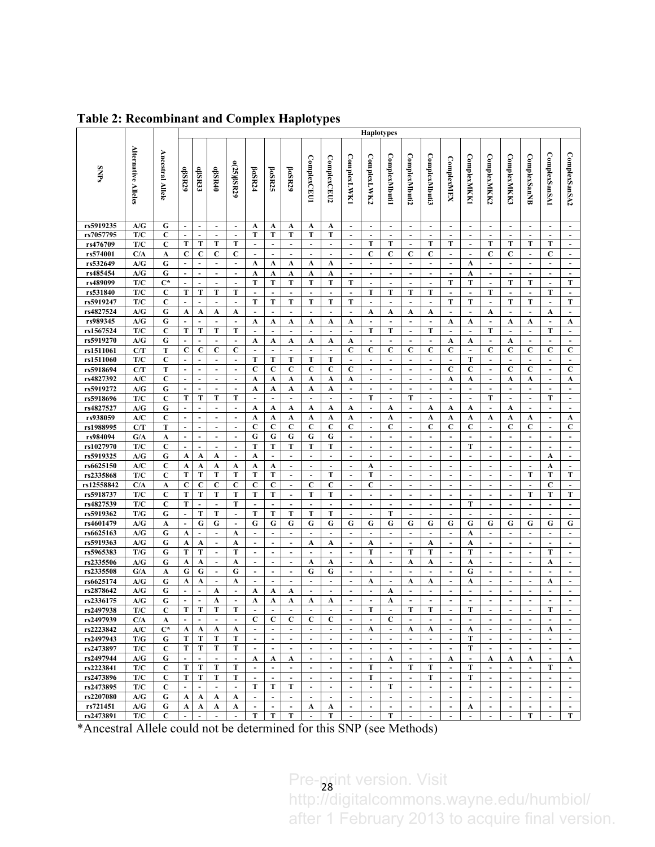|                         |                     |                         | <b>Haplotypes</b>   |                          |                          |                               |                               |                               |                            |                                  |                               |                                            |                          |                                            |                                  |                               |                                  |                                            |                                  |                                  |                                  |                               |                                            |
|-------------------------|---------------------|-------------------------|---------------------|--------------------------|--------------------------|-------------------------------|-------------------------------|-------------------------------|----------------------------|----------------------------------|-------------------------------|--------------------------------------------|--------------------------|--------------------------------------------|----------------------------------|-------------------------------|----------------------------------|--------------------------------------------|----------------------------------|----------------------------------|----------------------------------|-------------------------------|--------------------------------------------|
|                         |                     |                         |                     |                          |                          |                               |                               |                               |                            |                                  |                               |                                            |                          |                                            |                                  |                               |                                  |                                            |                                  |                                  |                                  |                               |                                            |
|                         | Alternative Alleles |                         |                     |                          |                          |                               |                               |                               |                            |                                  |                               |                                            |                          |                                            |                                  |                               |                                  |                                            |                                  |                                  |                                  |                               |                                            |
|                         |                     |                         |                     |                          |                          |                               |                               |                               |                            |                                  |                               |                                            |                          |                                            |                                  |                               |                                  |                                            |                                  |                                  |                                  |                               |                                            |
| <b>SNPs</b>             |                     | <b>Ancestral Allele</b> | aßR29               | aßR33                    | aßR40                    | a(25)ßSR29                    | ${\bf \beta}$ aSR24           | <b>paSR25</b>                 | ${\bf \beta}$ aSR29        | ComplexCEU1                      | ComplexCEU2                   | <b>ComplexLWK1</b>                         | ComplexLWK2              | <b>ComplexMbutil</b>                       | <b>ComplexMbuti2</b>             | <b>ComplexMbuti3</b>          | ComplexMEX                       | <b>ComplexMKK1</b>                         | ComplexMKK2                      | <b>ComplexMKK3</b>               | <b>ComplexSanNB</b>              | <b>ComplexSanSA1</b>          | ComplexSanSA2                              |
|                         |                     |                         |                     |                          |                          |                               |                               |                               |                            |                                  |                               |                                            |                          |                                            |                                  |                               |                                  |                                            |                                  |                                  |                                  |                               |                                            |
|                         |                     |                         |                     |                          |                          |                               |                               |                               |                            |                                  |                               |                                            |                          |                                            |                                  |                               |                                  |                                            |                                  |                                  |                                  |                               |                                            |
|                         |                     |                         |                     |                          |                          |                               |                               |                               |                            |                                  |                               |                                            |                          |                                            |                                  |                               |                                  |                                            |                                  |                                  |                                  |                               |                                            |
|                         |                     |                         |                     |                          |                          |                               |                               |                               |                            |                                  |                               |                                            |                          |                                            |                                  |                               |                                  |                                            |                                  |                                  |                                  |                               |                                            |
| rs5919235               | A/G                 | G                       | $\blacksquare$      | $\sim$                   | $\blacksquare$           | $\sim$                        | A                             | A                             | A                          | A                                | A                             | $\blacksquare$                             | $\blacksquare$           | $\blacksquare$                             | $\sim$                           | $\blacksquare$                | $\sim$                           | $\blacksquare$                             | $\blacksquare$                   | $\blacksquare$                   | $\overline{\phantom{a}}$         | $\sim$                        | $\blacksquare$                             |
| rs7057795               | T/C                 | $\mathbf C$             | $\blacksquare$      | $\tilde{\phantom{a}}$    | $\sim$                   | $\overline{\phantom{a}}$      | т                             | т                             | T                          | T                                | T                             | $\overline{\phantom{a}}$                   | $\overline{\phantom{a}}$ | $\overline{\phantom{a}}$                   | $\overline{\phantom{a}}$         | ÷,                            | $\overline{\phantom{a}}$         | $\overline{\phantom{a}}$                   | $\sim$                           | $\sim$                           | $\overline{\phantom{a}}$         | $\sim$                        | $\overline{\phantom{a}}$                   |
| rs476709                | T/C                 | C                       | T                   | T                        | T                        | T                             | $\blacksquare$                | $\blacksquare$                | $\omega$                   | $\blacksquare$                   | $\blacksquare$                | $\Box$                                     | T                        | T                                          | ä,                               | T                             | Т                                | $\omega$                                   | T                                | T                                | T                                | Т                             | $\hat{\mathbf{r}}$                         |
| rs574001                | C/A                 | A                       | $\mathbf C$         | $\mathbf c$              | C                        | C                             | $\blacksquare$                | $\overline{\phantom{a}}$      | $\blacksquare$             | $\blacksquare$                   | $\overline{\phantom{a}}$      | $\overline{\phantom{a}}$                   | C                        | C                                          | C                                | C                             | $\overline{a}$                   | $\overline{\phantom{a}}$                   | C                                | C                                | $\overline{a}$                   | C                             | $\blacksquare$                             |
| rs532649                | A/G                 | G                       | $\overline{a}$      | $\overline{\phantom{a}}$ | $\blacksquare$           | $\blacksquare$                | A                             | A                             | A                          | A                                | A                             | $\blacksquare$                             | $\blacksquare$           | $\blacksquare$                             | $\blacksquare$                   | $\blacksquare$                | $\blacksquare$                   | A                                          | $\overline{\phantom{a}}$         | $\blacksquare$                   | $\overline{\phantom{a}}$         | $\blacksquare$                | $\blacksquare$                             |
| rs485454                | A/G                 | G                       | $\blacksquare$      | $\overline{\phantom{a}}$ | $\blacksquare$           | $\blacksquare$                | A                             | A                             | A                          | A                                | A                             | ÷,                                         | $\overline{\phantom{a}}$ | $\blacksquare$                             | $\blacksquare$                   | ÷                             | $\blacksquare$                   | A                                          | $\blacksquare$                   | $\overline{\phantom{a}}$         | $\overline{a}$                   | $\overline{\phantom{a}}$      | $\overline{\phantom{a}}$                   |
| rs489099                | T/C                 | $\mathbf{C}^*$          | $\overline{a}$      | ä,                       | $\blacksquare$           | $\blacksquare$                | T                             | T                             | T                          | T                                | т                             | Т                                          | $\omega$                 | ä,                                         | ä,                               | $\overline{a}$                | T                                | T                                          | $\Box$                           | T                                | T                                | $\overline{\phantom{a}}$      | T                                          |
| rs531840                | T/C                 | C                       | T                   | T                        | Т                        | Т                             | $\overline{\phantom{a}}$      | $\overline{\phantom{a}}$      | $\blacksquare$             |                                  | $\overline{a}$                | $\overline{\phantom{a}}$                   | Т                        | T                                          | T                                | T                             | $\overline{\phantom{a}}$         | $\overline{\phantom{a}}$                   | T                                | $\overline{\phantom{a}}$         |                                  | Т                             | $\blacksquare$                             |
| rs5919247               | T/C                 | C                       | $\overline{a}$      | $\overline{\phantom{a}}$ | $\blacksquare$           | $\blacksquare$                | Т                             | Т                             | T                          | T                                | T                             | Т                                          | $\blacksquare$           | $\blacksquare$                             | $\blacksquare$                   | $\overline{\phantom{a}}$      | Т                                | T                                          | $\blacksquare$                   | Т                                | T                                | $\Box$                        | T                                          |
| rs4827524               | A/G                 | G                       | A                   | A                        | A                        | A                             | $\ddot{\phantom{1}}$          | $\overline{\phantom{a}}$      | ä,                         | $\blacksquare$                   | $\overline{\phantom{a}}$      | ÷,                                         | A                        | A                                          | A                                | A                             | $\blacksquare$                   | $\overline{\phantom{a}}$                   | A                                | $\overline{\phantom{a}}$         |                                  | A                             | $\overline{\phantom{a}}$                   |
| rs989345                | A/G                 | G                       | $\overline{a}$      | $\tilde{\phantom{a}}$    | $\Box$                   | $\blacksquare$                | A                             | A                             | A                          | A                                | A                             | A                                          | ÷,                       | ä,                                         | $\blacksquare$                   | ä,                            | A                                | A                                          | $\overline{\phantom{a}}$         | A                                | A                                | $\mathbb{Z}^2$                | A                                          |
| rs1567524               | T/C                 | C                       | T<br>$\overline{a}$ | T<br>$\blacksquare$      | Т<br>$\blacksquare$      | Т                             | $\ddot{\phantom{1}}$<br>A     | $\overline{\phantom{a}}$<br>A | $\blacksquare$<br>A        | A                                | $\overline{\phantom{a}}$<br>A | $\overline{\phantom{a}}$<br>A              | Т<br>$\blacksquare$      | T<br>$\blacksquare$                        | $\blacksquare$<br>$\blacksquare$ | T<br>$\overline{\phantom{a}}$ | $\overline{\phantom{a}}$<br>A    | $\overline{\phantom{a}}$<br>A              | T<br>$\blacksquare$              | $\blacksquare$<br>A              | $\blacksquare$<br>$\blacksquare$ | Т<br>$\blacksquare$           | $\overline{\phantom{a}}$<br>$\blacksquare$ |
| rs5919270<br>rs1511061  | A/G<br>C/T          | G<br>T                  | $\mathbf C$         | $\mathbf C$              | С                        | $\blacksquare$<br>С           | $\ddot{\phantom{1}}$          | $\overline{\phantom{a}}$      | $\blacksquare$             | $\blacksquare$                   | $\overline{\phantom{a}}$      | C                                          | С                        | C                                          | C                                | $\mathbf C$                   | C                                | $\overline{\phantom{a}}$                   | C                                | C                                | C                                | С                             | C                                          |
| rs1511060               | T/C                 | $\mathbf C$             | $\overline{a}$      | $\sim$                   | $\blacksquare$           | $\blacksquare$                | T                             | T                             | T                          | T                                | T                             | $\blacksquare$                             | $\Box$                   | $\Box$                                     | $\overline{\phantom{a}}$         | $\blacksquare$                | $\overline{\phantom{a}}$         | T                                          | $\blacksquare$                   | $\blacksquare$                   | ä,                               | $\Box$                        | $\hat{\mathbf{r}}$                         |
| rs5918694               | C/T                 | T                       | $\blacksquare$      | $\overline{\phantom{a}}$ | $\overline{\phantom{a}}$ | $\overline{\phantom{a}}$      | C                             | C                             | С                          | С                                | С                             | C                                          | $\overline{\phantom{a}}$ | $\overline{\phantom{a}}$                   | $\overline{\phantom{a}}$         | $\overline{a}$                | C                                | C                                          | $\overline{\phantom{a}}$         | C                                | C                                | $\overline{\phantom{a}}$      | C                                          |
| rs4827392               | A/C                 | $\mathbf C$             | $\overline{a}$      | ä,                       | $\blacksquare$           | $\blacksquare$                | A                             | A                             | A                          | A                                | A                             | A                                          | $\blacksquare$           | $\blacksquare$                             | $\blacksquare$                   | $\blacksquare$                | A                                | A                                          | $\blacksquare$                   | A                                | A                                | $\blacksquare$                | A                                          |
| rs5919272               | A/G                 | G                       | $\blacksquare$      | $\blacksquare$           | $\overline{\phantom{a}}$ | $\overline{\phantom{a}}$      | A                             | A                             | A                          | A                                | A                             | $\overline{\phantom{a}}$                   | $\blacksquare$           | $\blacksquare$                             | $\blacksquare$                   | ÷                             | $\overline{a}$                   | $\overline{\phantom{a}}$                   | $\overline{\phantom{a}}$         | $\blacksquare$                   |                                  | $\overline{\phantom{a}}$      | $\overline{\phantom{a}}$                   |
| rs5918696               | T/C                 | $\mathbf C$             | T                   | T                        | T                        | Т                             | $\overline{\phantom{a}}$      | ä,                            | $\omega$                   | $\omega$                         | ä,                            | $\blacksquare$                             | Т                        | ä,                                         | T                                | ä,                            | ä,                               | $\bar{\mathbf{z}}$                         | T                                | $\blacksquare$                   | ä,                               | T                             | $\bar{\mathbf{z}}$                         |
| rs4827527               | A/G                 | G                       | $\blacksquare$      | $\overline{a}$           |                          |                               | A                             | A                             | A                          | A                                | A                             | A                                          | $\overline{a}$           | A                                          | $\overline{\phantom{a}}$         | A                             | A                                | A                                          | $\overline{\phantom{a}}$         | A                                | $\overline{a}$                   | $\blacksquare$                | $\overline{\phantom{a}}$                   |
| rs938059                | A/C                 | $\mathbf C$             | $\overline{a}$      | ä,                       | $\blacksquare$           | $\blacksquare$                | A                             | A                             | A                          | A                                | A                             | A                                          | $\blacksquare$           | A                                          | $\blacksquare$                   | A                             | A                                | A                                          | A                                | A                                | A                                | $\overline{\phantom{a}}$      | A                                          |
| rs1988995               | C/T                 | T                       | $\blacksquare$      | $\blacksquare$           | $\overline{\phantom{a}}$ | $\overline{\phantom{a}}$      | C                             | C                             | С                          | С                                | С                             | C                                          | $\overline{\phantom{a}}$ | C                                          | $\blacksquare$                   | $\mathbf C$                   | C                                | C                                          | $\blacksquare$                   | C                                | C                                | $\overline{\phantom{a}}$      | C                                          |
| rs984094                | G/A                 | A                       | $\overline{a}$      | ä,                       | $\blacksquare$           | $\Box$                        | G                             | G                             | G                          | G                                | G                             | $\blacksquare$                             | $\Box$                   | ä,                                         | $\blacksquare$                   | $\blacksquare$                | ÷,                               | $\blacksquare$                             | $\blacksquare$                   | $\blacksquare$                   | $\blacksquare$                   | $\Box$                        | $\bar{\mathbf{z}}$                         |
| rs1027970               | T/C                 | $\mathbf C$             | $\blacksquare$      | $\overline{\phantom{a}}$ | $\overline{\phantom{a}}$ | $\overline{\phantom{a}}$      | T                             | T                             | Т                          | T                                | T                             | $\overline{\phantom{a}}$                   | $\overline{a}$           | $\overline{\phantom{a}}$                   | $\overline{\phantom{a}}$         | $\overline{a}$                | $\overline{a}$                   | T                                          | $\overline{\phantom{a}}$         | $\overline{\phantom{a}}$         |                                  | $\blacksquare$                | $\overline{\phantom{a}}$                   |
| rs5919325               | A/G                 | G                       | A                   | A                        | A                        | $\blacksquare$                | A                             | ÷,                            | $\Box$                     | $\Box$                           | $\Box$                        | $\blacksquare$                             | $\blacksquare$           | $\Box$                                     | $\blacksquare$                   | $\blacksquare$                | $\blacksquare$                   | $\blacksquare$                             | $\blacksquare$                   | $\blacksquare$                   | $\blacksquare$                   | A                             | $\bar{\mathbf{z}}$                         |
| rs6625150               | A/C                 | $\mathbf C$             | A<br>T              | A<br>Т                   | A<br>T                   | A<br>Т                        | A<br>T                        | A<br>Т                        | $\blacksquare$<br>$\omega$ | $\blacksquare$<br>$\blacksquare$ | $\overline{\phantom{a}}$<br>T | $\overline{\phantom{a}}$<br>$\blacksquare$ | A<br>Т                   | $\blacksquare$<br>$\overline{\phantom{a}}$ | $\blacksquare$<br>$\blacksquare$ | ÷<br>$\blacksquare$           | $\overline{a}$                   | $\overline{\phantom{a}}$<br>$\blacksquare$ | $\blacksquare$                   | $\blacksquare$<br>$\blacksquare$ | T                                | A<br>T                        | $\overline{\phantom{a}}$<br>T              |
| rs2335868<br>rs12558842 | T/C<br>C/A          | $\mathbf C$             | $\mathbf C$         | $\mathbf C$              | C                        | C                             | С                             | C                             | $\blacksquare$             | С                                | C                             | $\overline{\phantom{a}}$                   | C                        | $\blacksquare$                             | $\overline{\phantom{a}}$         | $\overline{a}$                | $\blacksquare$<br>$\overline{a}$ | $\overline{\phantom{a}}$                   | $\blacksquare$                   | $\overline{\phantom{a}}$         |                                  | C                             | $\blacksquare$                             |
| rs5918737               | T/C                 | A<br>$\mathbf C$        | T                   | T                        | T                        | Т                             | T                             | Т                             | $\omega$                   | T                                | т                             | $\blacksquare$                             | $\Box$                   | $\Box$                                     | $\blacksquare$                   | ä,                            | $\blacksquare$                   | $\blacksquare$                             | $\blacksquare$                   | $\omega$                         | T                                | T                             | T                                          |
| rs4827539               | T/C                 | $\mathbf C$             | Т                   | $\overline{\phantom{a}}$ | $\overline{\phantom{a}}$ | T                             | $\ddot{\phantom{1}}$          | $\overline{\phantom{a}}$      | $\blacksquare$             | $\overline{\phantom{a}}$         | $\overline{\phantom{a}}$      | $\overline{\phantom{a}}$                   | ÷,                       | $\blacksquare$                             | $\blacksquare$                   | ÷                             | ÷,                               | T                                          | $\overline{\phantom{a}}$         | $\overline{\phantom{a}}$         |                                  | $\overline{\phantom{a}}$      | $\overline{\phantom{a}}$                   |
| rs5919362               | T/G                 | G                       | $\overline{a}$      | Т                        | T                        | $\blacksquare$                | T                             | Т                             | T                          | T                                | T                             | $\blacksquare$                             | $\blacksquare$           | T                                          | $\blacksquare$                   | $\blacksquare$                | $\blacksquare$                   | $\blacksquare$                             | $\overline{\phantom{a}}$         | $\blacksquare$                   | $\blacksquare$                   | $\Box$                        | $\omega$                                   |
| rs4601479               | A/G                 | A                       | $\blacksquare$      | G                        | G                        | $\overline{\phantom{a}}$      | G                             | G                             | G                          | G                                | G                             | G                                          | G                        | G                                          | G                                | G                             | G                                | G                                          | G                                | G                                | G                                | G                             | G                                          |
| rs6625163               | A/G                 | G                       | A                   | ä,                       | $\blacksquare$           | A                             | $\overline{\phantom{a}}$      | $\mathbf{r}$                  | $\omega$                   | $\blacksquare$                   | ÷.                            | $\blacksquare$                             | $\mathbf{r}$             | $\Box$                                     | $\overline{\phantom{a}}$         | $\blacksquare$                | $\blacksquare$                   | A                                          | $\blacksquare$                   | $\blacksquare$                   | $\blacksquare$                   | $\Box$                        | $\omega$                                   |
| rs5919363               | A/G                 | G                       | A                   | A                        | $\blacksquare$           | A                             | $\ddot{\phantom{1}}$          | $\overline{\phantom{a}}$      | $\blacksquare$             | A                                | A                             | $\overline{\phantom{a}}$                   | A                        | $\blacksquare$                             | $\blacksquare$                   | A                             | $\overline{a}$                   | A                                          | $\overline{\phantom{a}}$         | $\blacksquare$                   |                                  | $\overline{\phantom{a}}$      | $\overline{\phantom{a}}$                   |
| rs5965383               | T/G                 | G                       | T                   | Т                        | $\blacksquare$           | Т                             | $\blacksquare$                | $\blacksquare$                | $\blacksquare$             | $\blacksquare$                   | $\blacksquare$                | $\frac{1}{2}$                              | Т                        | $\blacksquare$                             | T                                | T                             | ÷,                               | T                                          | $\blacksquare$                   | $\blacksquare$                   | $\overline{\phantom{a}}$         | Т                             | $\blacksquare$                             |
| rs2335506               | A/G                 | G                       | A                   | A                        | $\overline{\phantom{a}}$ | A                             | $\blacksquare$                | $\overline{\phantom{a}}$      | $\blacksquare$             | A                                | A                             | $\overline{\phantom{a}}$                   | A                        | $\blacksquare$                             | A                                | A                             | $\overline{a}$                   | A                                          |                                  | $\blacksquare$                   |                                  | A                             | $\blacksquare$                             |
| rs2335508               | G/A                 | A                       | G                   | G                        | ÷.                       | G                             | ä,                            | $\blacksquare$                | $\omega$                   | G                                | G                             | $\blacksquare$                             | $\blacksquare$           | $\Box$                                     | $\overline{\phantom{a}}$         | ä,                            | $\blacksquare$                   | G                                          | $\blacksquare$                   | $\omega$                         | $\blacksquare$                   | $\Box$                        | $\blacksquare$                             |
| rs6625174               | A/G                 | G                       | A                   | A                        | $\overline{\phantom{a}}$ | A                             | $\ddot{\phantom{1}}$          | $\overline{\phantom{a}}$      | $\overline{\phantom{0}}$   | $\blacksquare$                   | ٠                             | $\overline{\phantom{a}}$                   | A                        | $\blacksquare$                             | A                                | A                             | $\overline{a}$                   | A                                          |                                  | $\overline{\phantom{a}}$         |                                  | A                             | $\overline{\phantom{a}}$                   |
| rs2878642               | A/G                 | G                       | ÷,                  | $\blacksquare$           | A                        | $\overline{\phantom{a}}$      | A                             | A                             | A                          | $\blacksquare$                   | $\blacksquare$                | $\blacksquare$                             | ÷,                       | A                                          | $\blacksquare$                   | $\overline{a}$                | ÷,                               | ÷                                          | $\overline{\phantom{a}}$         | $\overline{\phantom{a}}$         | ÷,                               | $\blacksquare$                | $\blacksquare$                             |
| rs2336175<br>rs2497938  | A/G<br>T/C          | G<br>C                  | $\overline{a}$<br>Т | $\overline{a}$<br>Т      | A<br>Т                   | $\overline{\phantom{a}}$<br>Т | A<br>$\overline{\phantom{a}}$ | A<br>$\blacksquare$           | A<br>$\blacksquare$        | A<br>$\blacksquare$              | A<br>$\overline{\phantom{a}}$ | $\blacksquare$                             | ÷<br>Т                   | A<br>$\blacksquare$                        | $\blacksquare$<br>Т              | ÷<br>T                        | ÷,<br>$\blacksquare$             | ÷<br>T                                     | $\overline{a}$<br>$\blacksquare$ | $\overline{a}$<br>$\blacksquare$ | $\blacksquare$                   | $\overline{\phantom{a}}$<br>Т | ÷<br>$\overline{\phantom{a}}$              |
| rs2497939               | C/A                 | A                       | $\blacksquare$      | $\blacksquare$           | $\sim$                   | $\blacksquare$                | C                             | C                             | $\mathbf C$                | C                                | C                             | $\blacksquare$                             | $\blacksquare$           | C                                          | $\blacksquare$                   | $\overline{\phantom{a}}$      | $\blacksquare$                   | $\overline{\phantom{a}}$                   | $\sim$                           | $\sim$                           | $\overline{\phantom{a}}$         | $\overline{\phantom{a}}$      |                                            |
| rs2223842               | A/C                 | $C^*$                   | A                   | $\mathbf A$              | A                        | A                             | $\omega$                      | $\blacksquare$                | $\sim$                     | $\sim$                           | $\blacksquare$                | $\blacksquare$                             | A                        | $\omega$                                   | A                                | A                             | $\blacksquare$                   | A                                          | $\blacksquare$                   | $\blacksquare$                   | $\blacksquare$                   | A                             | $\blacksquare$                             |
| rs2497943               | T/G                 | G                       | Т                   | Т                        | Т                        | т                             | $\blacksquare$                | $\blacksquare$                | $\blacksquare$             | $\blacksquare$                   | ÷.                            | $\blacksquare$                             | $\overline{\phantom{a}}$ | $\blacksquare$                             | $\overline{\phantom{a}}$         | $\overline{\phantom{a}}$      | $\overline{\phantom{a}}$         | T                                          | $\blacksquare$                   | $\blacksquare$                   | $\overline{\phantom{a}}$         | $\blacksquare$                |                                            |
| rs2473897               | T/C                 | C                       | T                   | T                        | T                        | T                             | $\omega$                      | $\blacksquare$                | $\omega$                   | $\omega$                         | $\mathcal{L}^{\pm}$           | $\omega$                                   | $\omega$                 | $\mathbb{Z}^2$                             | $\blacksquare$                   | $\omega$                      | $\omega$                         | T                                          | $\mathbf{r}$                     | $\mathbf{r}$                     | $\mathbf{r}$                     | $\omega$                      | $\mathbf{r}$                               |
| rs2497944               | A/G                 | G                       | $\blacksquare$      | $\blacksquare$           | $\overline{\phantom{a}}$ | $\blacksquare$                | A                             | A                             | A                          | $\blacksquare$                   | $\blacksquare$                | $\blacksquare$                             | $\blacksquare$           | A                                          | $\overline{\phantom{a}}$         | $\blacksquare$                | A                                | $\blacksquare$                             | A                                | A                                | A                                | $\blacksquare$                | A                                          |
| rs2223841               | T/C                 | C                       | T                   | T                        | T                        | Т                             | $\blacksquare$                | $\blacksquare$                | $\blacksquare$             | $\blacksquare$                   | $\omega$                      | $\blacksquare$                             | Т                        | $\blacksquare$                             | T                                | T                             | $\blacksquare$                   | T                                          | $\blacksquare$                   | $\blacksquare$                   | $\overline{\phantom{a}}$         | Т                             | $\blacksquare$                             |
| rs2473896               | T/C                 | C                       | Т                   | T                        | Т                        | Т                             | $\overline{\phantom{a}}$      | $\blacksquare$                | $\blacksquare$             | $\blacksquare$                   | $\blacksquare$                | $\blacksquare$                             | Т                        | $\blacksquare$                             | $\blacksquare$                   | T                             | $\blacksquare$                   | T                                          | $\blacksquare$                   | $\blacksquare$                   | $\overline{\phantom{a}}$         | $\blacksquare$                | $\blacksquare$                             |
| rs2473895               | T/C                 | C                       | $\blacksquare$      | $\blacksquare$           | $\mathbf{r}$             | $\blacksquare$                | T                             | T                             | T                          | $\omega$                         | ÷.                            | $\mathbf{r}$                               | $\mathbf{r}$             | T                                          | $\blacksquare$                   | $\Box$                        | $\omega$                         | $\omega$                                   | $\mathbf{r}$                     | $\mathbf{r}$                     | $\mathbf{r}$                     | $\omega$                      | $\sim$                                     |
| rs2207080               | A/G                 | G                       | A                   | A                        | A                        | A                             | $\overline{\phantom{a}}$      | $\overline{\phantom{a}}$      | $\blacksquare$             | $\blacksquare$                   | $\overline{\phantom{a}}$      | $\overline{\phantom{a}}$                   | $\overline{\phantom{a}}$ | $\blacksquare$                             | $\blacksquare$                   | $\overline{\phantom{a}}$      | $\blacksquare$                   | $\blacksquare$                             | $\blacksquare$                   | $\blacksquare$                   | $\overline{\phantom{a}}$         | $\blacksquare$                |                                            |
| rs721451                | A/G                 | G                       | A                   | $\mathbf{A}$             | A                        | A                             | $\blacksquare$                | $\blacksquare$                | $\blacksquare$             | A                                | A                             | $\blacksquare$                             | $\blacksquare$           | $\omega$                                   | $\blacksquare$                   | $\blacksquare$                | $\blacksquare$                   | A                                          | $\blacksquare$                   | $\blacksquare$                   | $\blacksquare$                   | $\blacksquare$                | $\blacksquare$                             |
| rs2473891               | T/C                 | C                       | $\blacksquare$      | $\blacksquare$           | $\blacksquare$           | $\blacksquare$                | Т                             | Т                             | Т                          | $\blacksquare$                   | т                             | $\blacksquare$                             | $\blacksquare$           | Т                                          | $\blacksquare$                   | $\blacksquare$                | $\blacksquare$                   | $\blacksquare$                             | $\blacksquare$                   | $\blacksquare$                   | Т                                | $\blacksquare$                | Т                                          |

**Table 2: Recombinant and Complex Haplotypes**

\*Ancestral Allele could not be determined for this SNP (see Methods)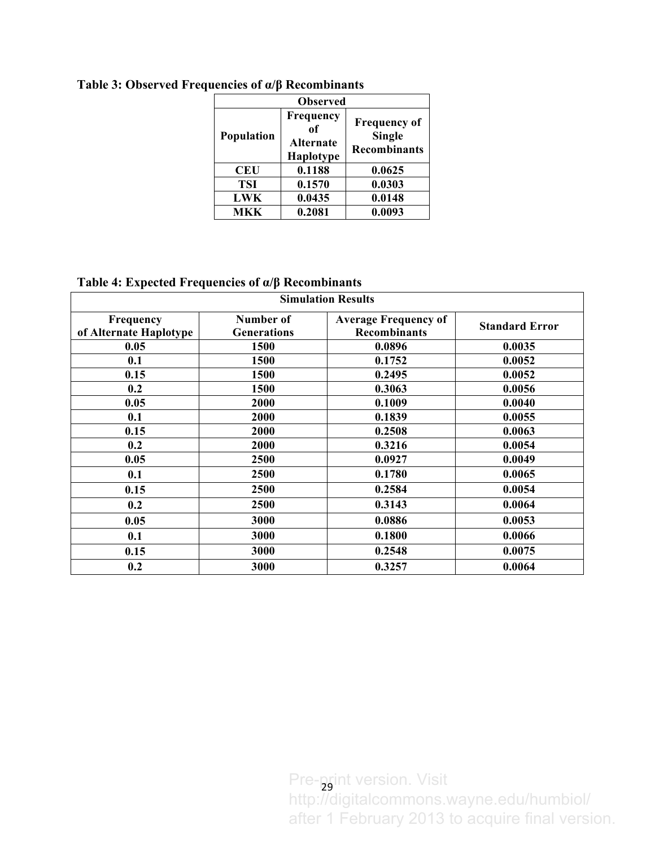| <b>Observed</b> |                                           |                                                             |  |  |  |  |  |  |  |
|-----------------|-------------------------------------------|-------------------------------------------------------------|--|--|--|--|--|--|--|
| Population      | Frequency<br>of<br>Alternate<br>Haplotype | <b>Frequency of</b><br><b>Single</b><br><b>Recombinants</b> |  |  |  |  |  |  |  |
| <b>CEU</b>      | 0.1188                                    | 0.0625                                                      |  |  |  |  |  |  |  |
| <b>TSI</b>      | 0.1570                                    | 0.0303                                                      |  |  |  |  |  |  |  |
| <b>LWK</b>      | 0.0435                                    | 0.0148                                                      |  |  |  |  |  |  |  |
| <b>MKK</b>      | 0.2081                                    | 0.0093                                                      |  |  |  |  |  |  |  |

**Table 3: Observed Frequencies of α/β Recombinants**

**Table 4: Expected Frequencies of α/β Recombinants**

| <b>Simulation Results</b>           |                                 |                                                    |                       |  |  |  |  |  |  |
|-------------------------------------|---------------------------------|----------------------------------------------------|-----------------------|--|--|--|--|--|--|
| Frequency<br>of Alternate Haplotype | Number of<br><b>Generations</b> | <b>Average Frequency of</b><br><b>Recombinants</b> | <b>Standard Error</b> |  |  |  |  |  |  |
| 0.05                                | 1500                            | 0.0896                                             | 0.0035                |  |  |  |  |  |  |
| 0.1                                 | 1500                            | 0.1752                                             | 0.0052                |  |  |  |  |  |  |
| 0.15                                | 1500                            | 0.2495                                             | 0.0052                |  |  |  |  |  |  |
| 0.2                                 | 1500                            | 0.3063                                             | 0.0056                |  |  |  |  |  |  |
| 0.05                                | 2000                            | 0.1009                                             | 0.0040                |  |  |  |  |  |  |
| 0.1                                 | 2000                            | 0.1839                                             | 0.0055                |  |  |  |  |  |  |
| 0.15                                | 2000                            | 0.2508                                             | 0.0063                |  |  |  |  |  |  |
| 0.2                                 | 2000                            | 0.3216                                             | 0.0054                |  |  |  |  |  |  |
| 0.05                                | 2500                            | 0.0927                                             | 0.0049                |  |  |  |  |  |  |
| 0.1                                 | 2500                            | 0.1780                                             | 0.0065                |  |  |  |  |  |  |
| 0.15                                | 2500                            | 0.2584                                             | 0.0054                |  |  |  |  |  |  |
| 0.2                                 | <b>2500</b>                     | 0.3143                                             | 0.0064                |  |  |  |  |  |  |
| 0.05                                | 3000                            | 0.0886                                             | 0.0053                |  |  |  |  |  |  |
| 0.1                                 | 3000                            | 0.1800                                             | 0.0066                |  |  |  |  |  |  |
| 0.15                                | 3000                            | 0.2548                                             | 0.0075                |  |  |  |  |  |  |
| 0.2                                 | 3000                            | 0.3257                                             | 0.0064                |  |  |  |  |  |  |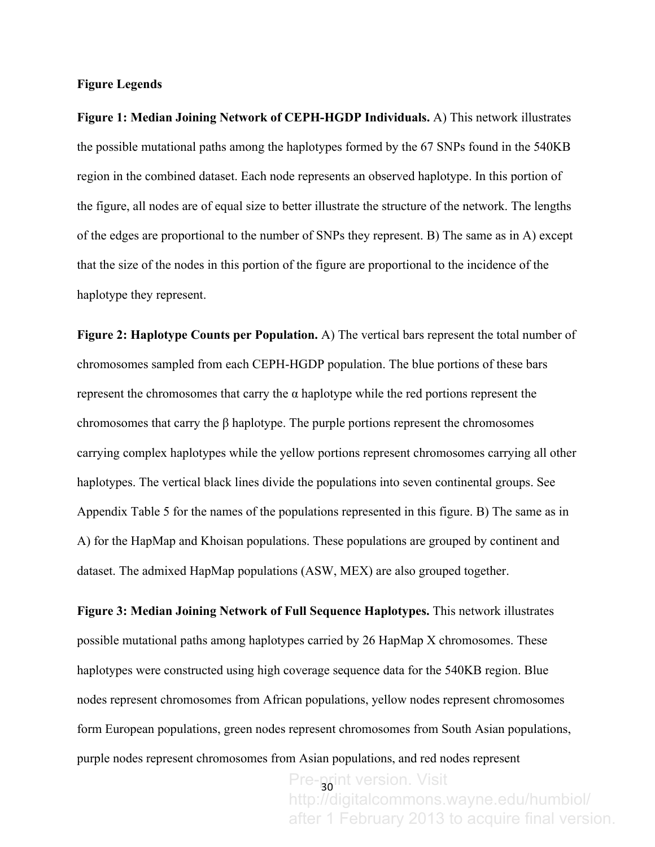#### **Figure Legends**

**Figure 1: Median Joining Network of CEPH-HGDP Individuals.** A) This network illustrates the possible mutational paths among the haplotypes formed by the 67 SNPs found in the 540KB region in the combined dataset. Each node represents an observed haplotype. In this portion of the figure, all nodes are of equal size to better illustrate the structure of the network. The lengths of the edges are proportional to the number of SNPs they represent. B) The same as in A) except that the size of the nodes in this portion of the figure are proportional to the incidence of the haplotype they represent.

**Figure 2: Haplotype Counts per Population.** A) The vertical bars represent the total number of chromosomes sampled from each CEPH-HGDP population. The blue portions of these bars represent the chromosomes that carry the α haplotype while the red portions represent the chromosomes that carry the β haplotype. The purple portions represent the chromosomes carrying complex haplotypes while the yellow portions represent chromosomes carrying all other haplotypes. The vertical black lines divide the populations into seven continental groups. See Appendix Table 5 for the names of the populations represented in this figure. B) The same as in A) for the HapMap and Khoisan populations. These populations are grouped by continent and dataset. The admixed HapMap populations (ASW, MEX) are also grouped together.

**Figure 3: Median Joining Network of Full Sequence Haplotypes.** This network illustrates possible mutational paths among haplotypes carried by 26 HapMap X chromosomes. These haplotypes were constructed using high coverage sequence data for the 540KB region. Blue nodes represent chromosomes from African populations, yellow nodes represent chromosomes form European populations, green nodes represent chromosomes from South Asian populations, purple nodes represent chromosomes from Asian populations, and red nodes represent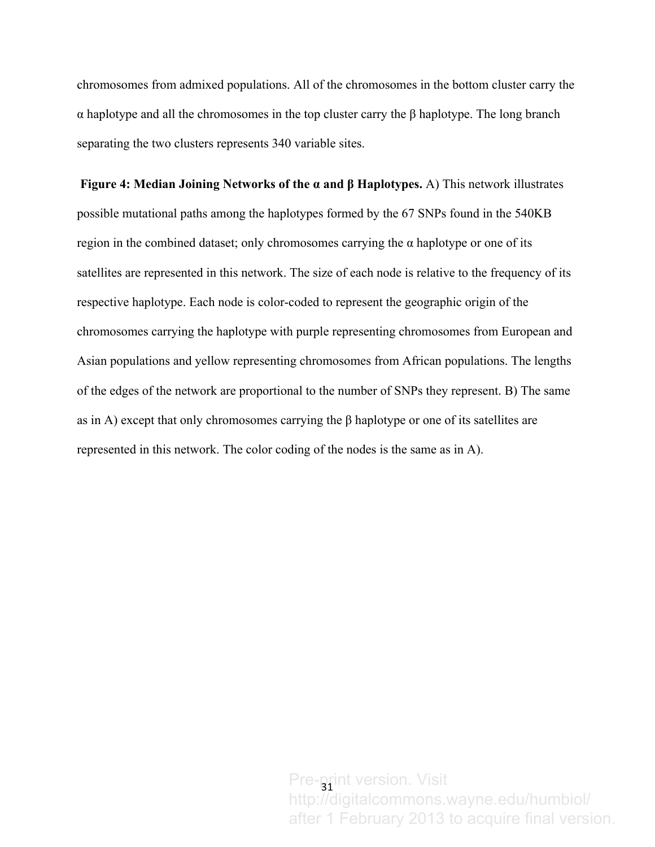chromosomes from admixed populations. All of the chromosomes in the bottom cluster carry the α haplotype and all the chromosomes in the top cluster carry the β haplotype. The long branch separating the two clusters represents 340 variable sites.

**Figure 4: Median Joining Networks of the α and β Haplotypes.** A) This network illustrates possible mutational paths among the haplotypes formed by the 67 SNPs found in the 540KB region in the combined dataset; only chromosomes carrying the α haplotype or one of its satellites are represented in this network. The size of each node is relative to the frequency of its respective haplotype. Each node is color-coded to represent the geographic origin of the chromosomes carrying the haplotype with purple representing chromosomes from European and Asian populations and yellow representing chromosomes from African populations. The lengths of the edges of the network are proportional to the number of SNPs they represent. B) The same as in A) except that only chromosomes carrying the β haplotype or one of its satellites are represented in this network. The color coding of the nodes is the same as in A).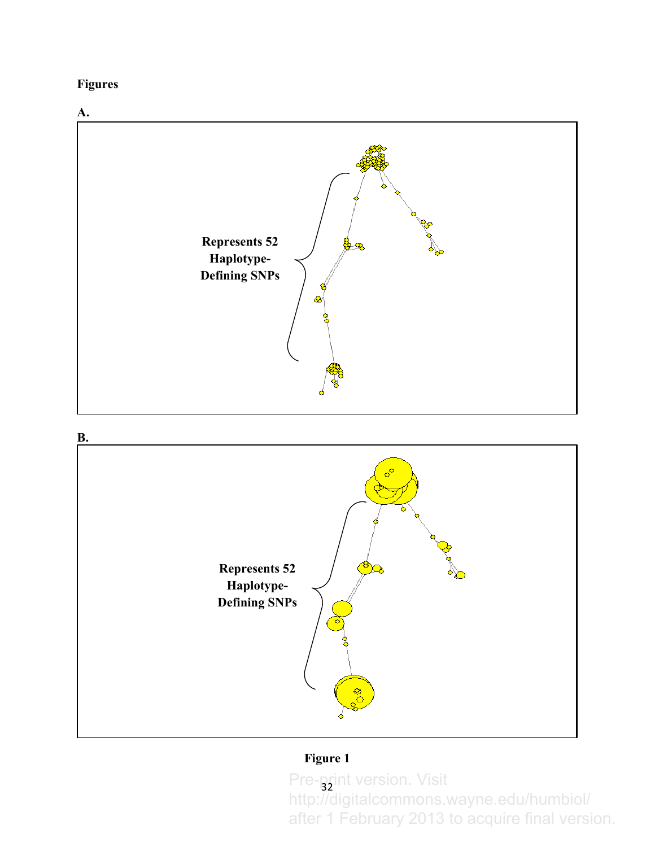**Figures**





# **Figure 1**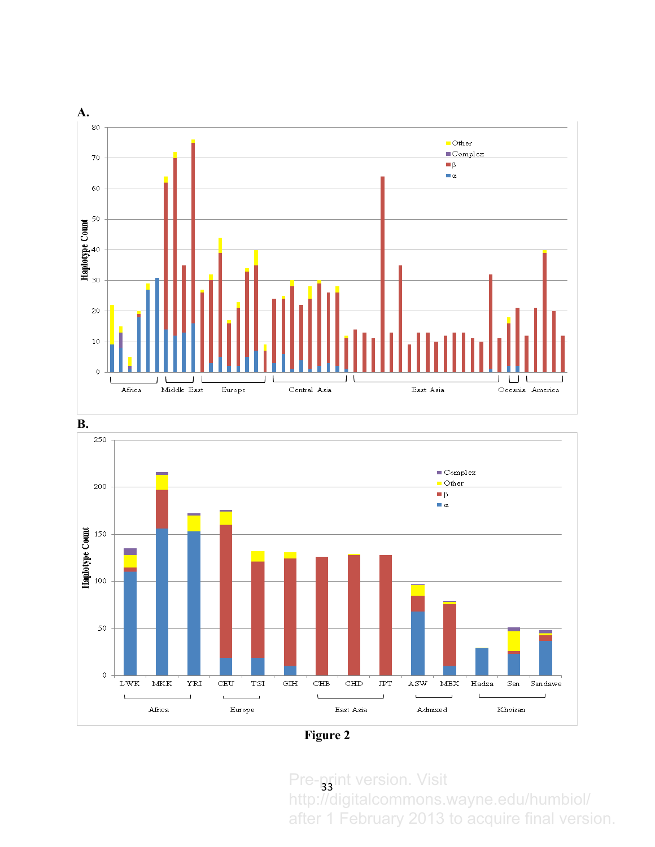



**Figure 2**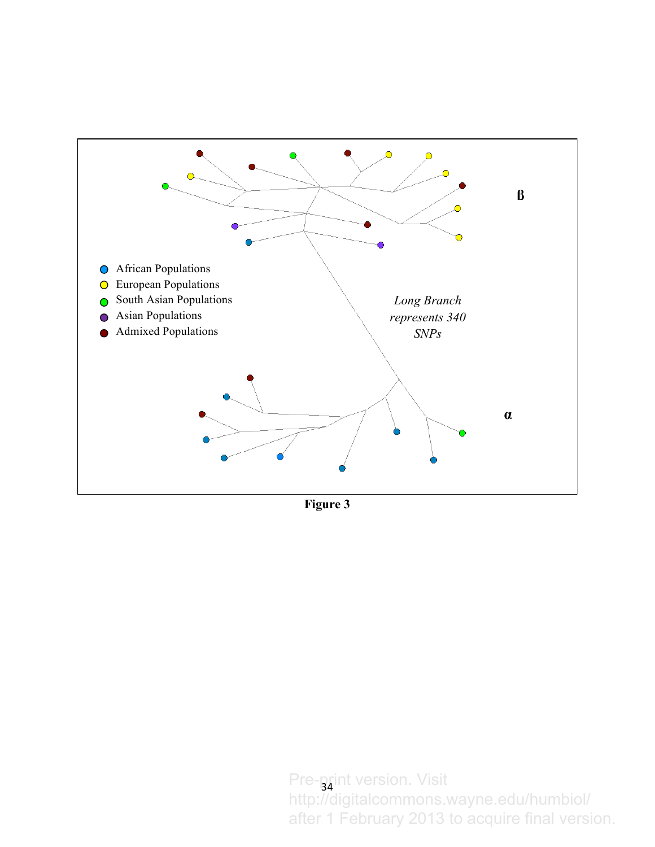

**Figure 3**